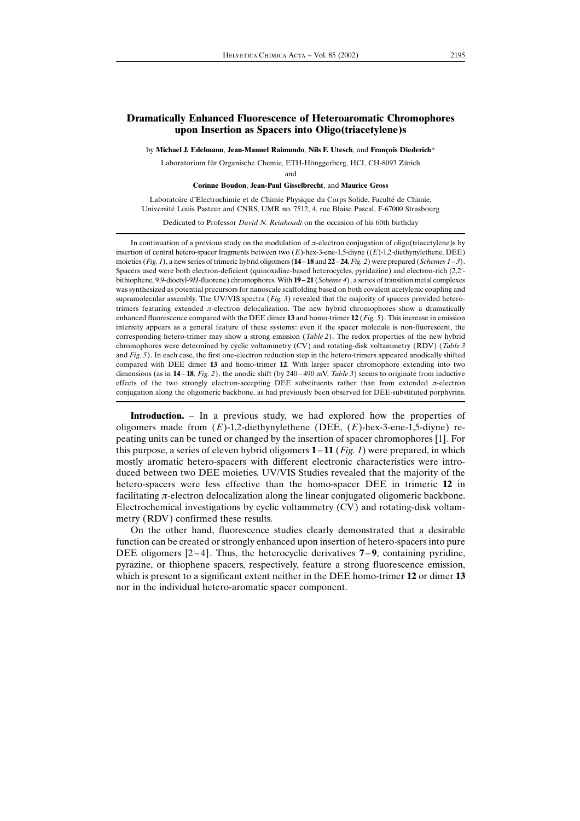## Dramatically Enhanced Fluorescence of Heteroaromatic Chromophores upon Insertion as Spacers into Oligo(triacetylene)s

by Michael J. Edelmann, Jean-Manuel Raimundo, Nils F. Utesch, and François Diederich\*

Laboratorium für Organische Chemie, ETH-Hönggerberg, HCI, CH-8093 Zürich

and

Corinne Boudon, Jean-Paul Gisselbrecht, and Maurice Gross

Laboratoire d'Electrochimie et de Chimie Physique du Corps Solide, Faculté de Chimie, Université Louis Pasteur and CNRS, UMR no. 7512, 4, rue Blaise Pascal, F-67000 Strasbourg

Dedicated to Professor David N. Reinhoudt on the occasion of his 60th birthday

In continuation of a previous study on the modulation of  $\pi$ -electron conjugation of oligo(triacetylene)s by insertion of central hetero-spacer fragments between two  $(E)$ -hex-3-ene-1,5-diyne  $((E)$ -1,2-diethynylethene, DEE) moieties (Fig. 1), a new series of trimeric hybrid oligomers ( $14 - 18$  and  $22 - 24$ , Fig. 2) were prepared (Schemes  $1 - 3$ ). Spacers used were both electron-deficient (quinoxaline-based heterocycles, pyridazine) and electron-rich (2,2 bithiophene, 9,9-dioctyl-9H-fluorene) chromophores. With  $19-21$  (*Scheme 4*), a series of transition metal complexes was synthesized as potential precursors for nanoscale scaffolding based on both covalent acetylenic coupling and supramolecular assembly. The UV/VIS spectra  $(Fig. 3)$  revealed that the majority of spacers provided heterotrimers featuring extended  $\pi$ -electron delocalization. The new hybrid chromophores show a dramatically enhanced fluorescence compared with the DEE dimer 13 and homo-trimer 12 (Fig. 5). This increase in emission intensity appears as a general feature of these systems: even if the spacer molecule is non-fluorescent, the corresponding hetero-trimer may show a strong emission (Table 2). The redox properties of the new hybrid chromophores were determined by cyclic voltammetry (CV) and rotating-disk voltammetry (RDV) (Table 3 and Fig. 5). In each case, the first one-electron reduction step in the hetero-trimers appeared anodically shifted compared with DEE dimer 13 and homo-trimer 12. With larger spacer chromophore extending into two dimensions (as in  $14-18$ , Fig. 2), the anodic shift (by  $240-490$  mV, Table 3) seems to originate from inductive effects of the two strongly electron-accepting DEE substituents rather than from extended  $\pi$ -electron conjugation along the oligomeric backbone, as had previously been observed for DEE-substituted porphyrins.

Introduction. - In a previous study, we had explored how the properties of oligomers made from  $(E)$ -1,2-diethynylethene (DEE,  $(E)$ -hex-3-ene-1,5-diyne) repeating units can be tuned or changed by the insertion of spacer chromophores [1]. For this purpose, a series of eleven hybrid oligomers  $1 - 11$  (*Fig. 1*) were prepared, in which mostly aromatic hetero-spacers with different electronic characteristics were introduced between two DEE moieties. UV/VIS Studies revealed that the majority of the hetero-spacers were less effective than the homo-spacer DEE in trimeric 12 in facilitating  $\pi$ -electron delocalization along the linear conjugated oligomeric backbone. Electrochemical investigations by cyclic voltammetry (CV) and rotating-disk voltammetry (RDV) confirmed these results.

On the other hand, fluorescence studies clearly demonstrated that a desirable function can be created or strongly enhanced upon insertion of hetero-spacers into pure DEE oligomers  $[2-4]$ . Thus, the heterocyclic derivatives 7–9, containing pyridine, pyrazine, or thiophene spacers, respectively, feature a strong fluorescence emission, which is present to a significant extent neither in the DEE homo-trimer 12 or dimer 13 nor in the individual hetero-aromatic spacer component.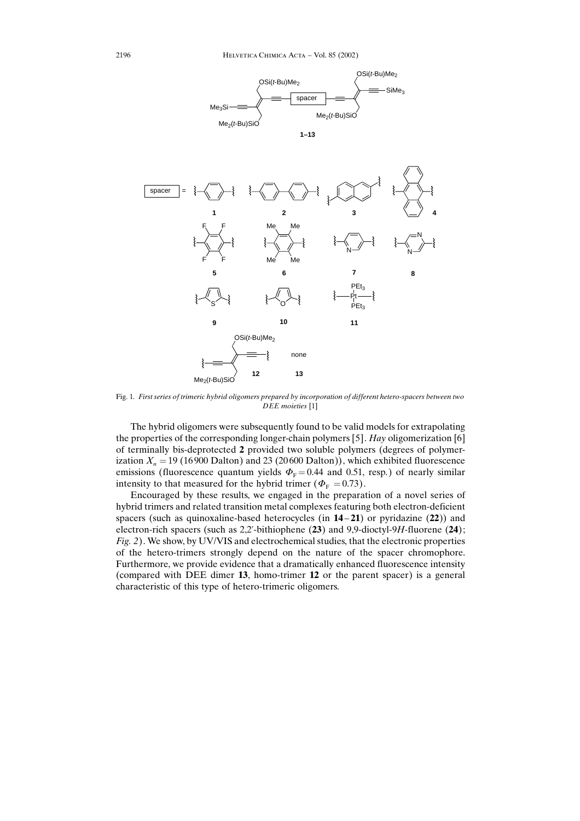

Fig. 1. First series of trimeric hybrid oligomers prepared by incorporation of different hetero-spacers between two DEE moieties [1]

The hybrid oligomers were subsequently found to be valid models for extrapolating the properties of the corresponding longer-chain polymers [5]. Hay oligomerization [6] of terminally bis-deprotected 2 provided two soluble polymers (degrees of polymerization  $X_n = 19$  (16 900 Dalton) and 23 (20 600 Dalton)), which exhibited fluorescence emissions (fluorescence quantum yields  $\Phi_F = 0.44$  and 0.51, resp.) of nearly similar intensity to that measured for the hybrid trimer ( $\Phi$ <sub>F</sub> = 0.73).

Encouraged by these results, we engaged in the preparation of a novel series of hybrid trimers and related transition metal complexes featuring both electron-deficient spacers (such as quinoxaline-based heterocycles (in  $14-21$ ) or pyridazine  $(22)$ ) and electron-rich spacers (such as  $2,2'$ -bithiophene (23) and 9,9-dioctyl-9H-fluorene (24); Fig. 2). We show, by UV/VIS and electrochemical studies, that the electronic properties of the hetero-trimers strongly depend on the nature of the spacer chromophore. Furthermore, we provide evidence that a dramatically enhanced fluorescence intensity (compared with DEE dimer 13, homo-trimer 12 or the parent spacer) is a general characteristic of this type of hetero-trimeric oligomers.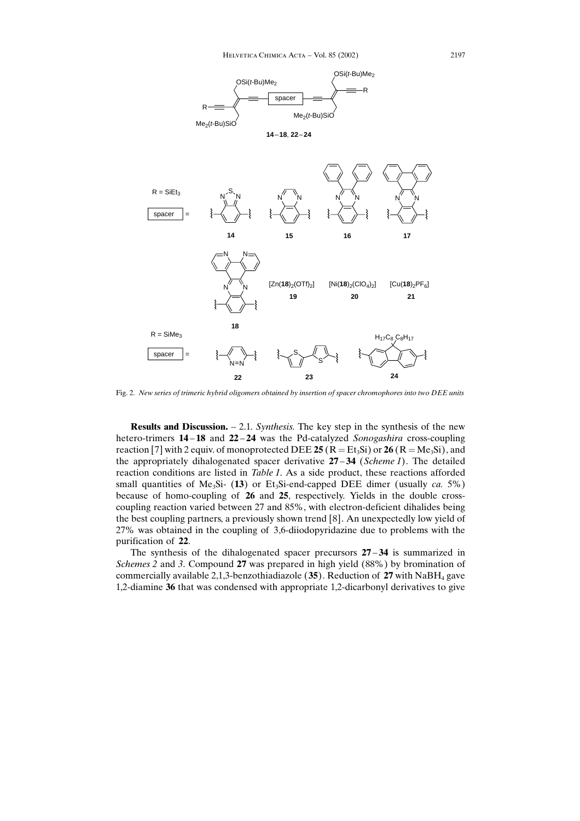

Fig. 2. New series of trimeric hybrid oligomers obtained by insertion of spacer chromophores into two DEE units

**Results and Discussion.**  $- 2.1$ . Synthesis. The key step in the synthesis of the new hetero-trimers  $14 - 18$  and  $22 - 24$  was the Pd-catalyzed Sonogashira cross-coupling reaction [7] with 2 equiv. of monoprotected DEE 25 ( $R = Et_3Si$ ) or 26 ( $R = Me_3Si$ ), and the appropriately dihalogenated spacer derivative  $27 - 34$  (Scheme 1). The detailed reaction conditions are listed in Table 1. As a side product, these reactions afforded small quantities of Me<sub>3</sub>Si- (13) or Et<sub>3</sub>Si-end-capped DEE dimer (usually *ca.* 5%) because of homo-coupling of 26 and 25, respectively. Yields in the double crosscoupling reaction varied between 27 and 85%, with electron-deficient dihalides being the best coupling partners, a previously shown trend [8]. An unexpectedly low yield of 27% was obtained in the coupling of 3,6-diiodopyridazine due to problems with the purification of 22.

The synthesis of the dihalogenated spacer precursors  $27 - 34$  is summarized in Schemes 2 and 3. Compound 27 was prepared in high yield (88%) by bromination of commercially available 2,1,3-benzothiadiazole  $(35)$ . Reduction of 27 with NaBH<sub>4</sub> gave 1,2-diamine 36 that was condensed with appropriate 1,2-dicarbonyl derivatives to give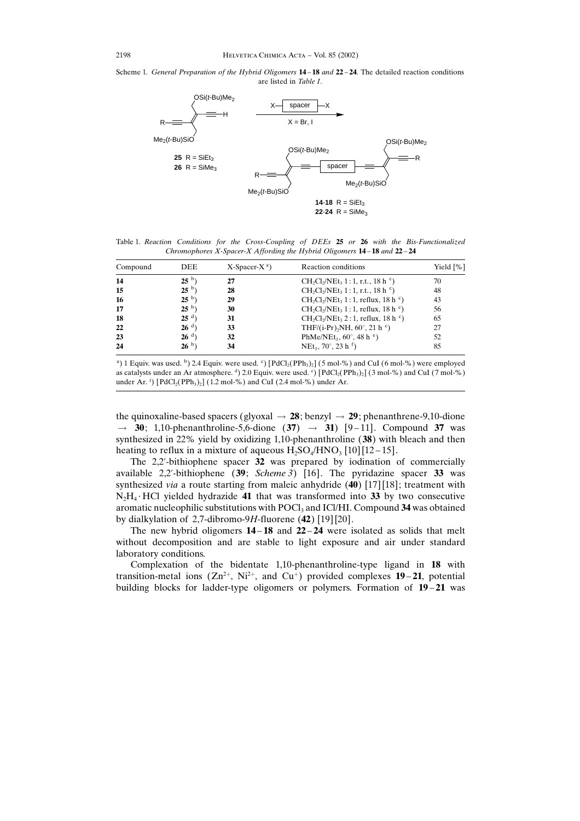## Scheme 1. General Preparation of the Hybrid Oligomers  $14 - 18$  and  $22 - 24$ . The detailed reaction conditions are listed in Table 1.



Table 1. Reaction Conditions for the Cross-Coupling of DEEs 25 or 26 with the Bis-Functionalized Chromophores X-Spacer-X Affording the Hybrid Oligomers  $14-18$  and  $22-24$ 

| Compound | <b>DEE</b>      | $X$ -Spacer-X <sup>a</sup> ) | Reaction conditions                                                                  | Yield $[\%]$ |  |
|----------|-----------------|------------------------------|--------------------------------------------------------------------------------------|--------------|--|
| 14       | $25^{b}$ )      | 27                           | $CH_2Cl_2/NEt_3$ 1:1, r.t., 18 h $\circ$ )                                           | 70           |  |
| 15       | $25^{b}$ )      | 28                           | $CH_2Cl_2/NEt_3$ 1:1, r.t., 18 h $\circ$ )                                           | 48           |  |
| 16       | $25^{b}$ )      | 29                           | CH <sub>2</sub> Cl <sub>2</sub> /NEt <sub>3</sub> 1:1, reflux, 18 h <sup>c</sup> )   | 43           |  |
| 17       | 25 <sup>b</sup> | 30                           | CH <sub>2</sub> Cl <sub>2</sub> /NEt <sub>3</sub> 1:1, reflux, 18 h $\circ$ )        | 56           |  |
| 18       | $25d$ )         | 31                           | CH <sub>2</sub> Cl <sub>2</sub> /NEt <sub>3</sub> 2 : 1, reflux, 18 h <sup>c</sup> ) | 65           |  |
| 22       | 26 <sup>d</sup> | 33                           | THF/(i-Pr) <sub>2</sub> NH, $60^{\circ}$ , 21 h $\circ$ )                            | 27           |  |
| 23       | 26 <sup>d</sup> | 32                           | PhMe/NEt <sub>3</sub> , $60^{\circ}$ , 48 h $^{\circ}$ )                             | 52           |  |
| 24       | 26 <sup>b</sup> | 34                           | NEt <sub>3</sub> , 70 $^{\circ}$ , 23 h <sup>f</sup> )                               | 85           |  |

<sup>a</sup>) 1 Equiv. was used. <sup>b</sup>) 2.4 Equiv. were used. <sup>c</sup>) [PdCl<sub>2</sub>(PPh<sub>3</sub>)<sub>2</sub>] (5 mol-%) and CuI (6 mol-%) were employed as catalysts under an Ar atmosphere. d) 2.0 Equiv. were used.  $\degree$  [PdCl<sub>2</sub>(PPh<sub>3</sub>)<sub>2</sub>] (3 mol-%) and CuI (7 mol-%) under Ar. <sup>f</sup>) [PdCl<sub>2</sub>(PPh<sub>3</sub>)<sub>2</sub>] (1.2 mol-%) and CuI (2.4 mol-%) under Ar.

the quinoxaline-based spacers (glyoxal  $\rightarrow$  28; benzyl  $\rightarrow$  29; phenanthrene-9,10-dione  $\rightarrow$  $\rightarrow$  30; 1,10-phenanthroline-5,6-dione (37)  $\rightarrow$  31) [9-11]. Compound 37 was synthesized in 22% yield by oxidizing 1,10-phenanthroline (38) with bleach and then heating to reflux in a mixture of aqueous  $H_2SO_4/HNO_3$  [10] [12-15].

The 2,2-bithiophene spacer 32 was prepared by iodination of commercially available 2,2'-bithiophene  $(39; Scheme 3)$  [16]. The pyridazine spacer 33 was synthesized via a route starting from maleic anhydride (40) [17] [18]; treatment with  $N_2H_4$  HCl yielded hydrazide 41 that was transformed into 33 by two consecutive aromatic nucleophilic substitutions with POCl<sub>3</sub> and ICl/HI. Compound 34 was obtained by dialkylation of 2,7-dibromo-9H-fluorene  $(42)$  [19] [20].

The new hybrid oligomers  $14 - 18$  and  $22 - 24$  were isolated as solids that melt without decomposition and are stable to light exposure and air under standard laboratory conditions.

Complexation of the bidentate 1,10-phenanthroline-type ligand in 18 with transition-metal ions  $(Zn^{2+}, Ni^{2+},$  and  $Cu^{+})$  provided complexes 19-21, potential building blocks for ladder-type oligomers or polymers. Formation of  $19-21$  was

2198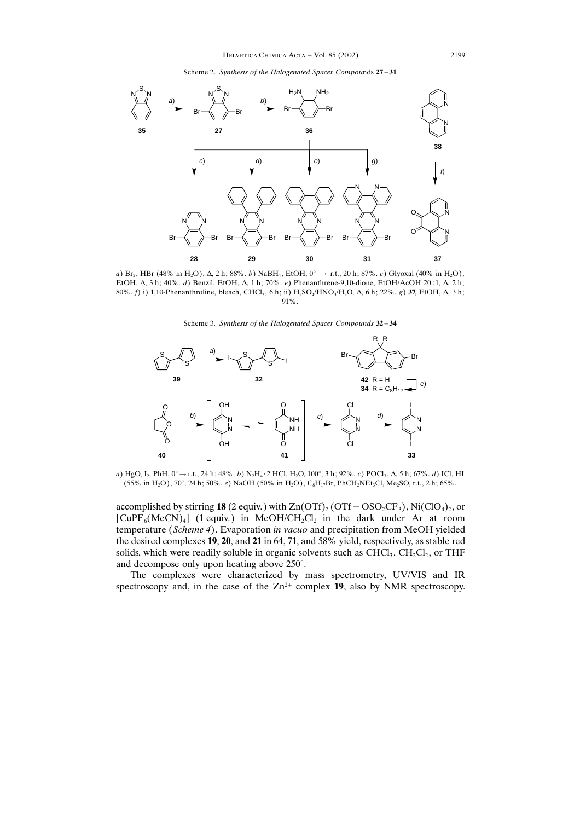Scheme 2. Synthesis of the Halogenated Spacer Compounds  $27 - 31$ 



a) Br<sub>2</sub>, HBr (48% in H<sub>2</sub>O),  $\Delta$ , 2 h; 88%. *b*) NaBH<sub>4</sub>, EtOH,  $0^{\circ} \to$  r.t., 20 h; 87%. *c*) Glyoxal (40% in H<sub>2</sub>O), EtOH,  $\Delta$ , 3h; 40%. d) Benzil, EtOH,  $\Delta$ , 1h; 70%. e) Phenanthrene-9,10-dione, EtOH/AcOH 20:1,  $\Delta$ , 2h; 80%.  $f$ ) i) 1,10-Phenanthroline, bleach, CHCl<sub>3</sub>, 6 h; ii) H<sub>2</sub>SO<sub>4</sub>/HNO<sub>3</sub>/H<sub>2</sub>O,  $\Delta$ , 6 h; 22%. g) 37, EtOH,  $\Delta$ , 3 h; 91%.

Scheme 3. Synthesis of the Halogenated Spacer Compounds 32-34



a) HgO, I<sub>2</sub>, PhH, 0°  $\rightarrow$  r.t., 24 h; 48%. *b*) N<sub>2</sub>H<sub>4</sub> · 2 HCl, H<sub>2</sub>O, 100°, 3 h; 92%. *c*) POCl<sub>3</sub>,  $\Delta$ , 5 h; 67%. *d*) ICl, HI  $(55\% \text{ in H}_2\text{O})$ , 70°, 24 h; 50%. *e*) NaOH (50% in H<sub>2</sub>O), C<sub>8</sub>H<sub>17</sub>Br, PhCH<sub>2</sub>NEt<sub>3</sub>Cl, Me<sub>2</sub>SO, r.t., 2 h; 65%.

accomplished by stirring 18 (2 equiv.) with  $Zn(OTf)_{2} (OTf = OSO_{2}CF_{3})$ , Ni $(CIO_{4})_{2}$ , or  $[CuPF<sub>6</sub>(MeCN)<sub>4</sub>]$  (1 equiv.) in MeOH/CH<sub>2</sub>Cl<sub>2</sub> in the dark under Ar at room temperature (Scheme 4). Evaporation in vacuo and precipitation from MeOH yielded the desired complexes 19, 20, and 21 in 64, 71, and 58% yield, respectively, as stable red solids, which were readily soluble in organic solvents such as  $CHCl<sub>3</sub>$ ,  $CH<sub>2</sub>Cl<sub>2</sub>$ , or THF and decompose only upon heating above  $250^{\circ}$ .

The complexes were characterized by mass spectrometry, UV/VIS and IR spectroscopy and, in the case of the  $Zn^{2+}$  complex 19, also by NMR spectroscopy.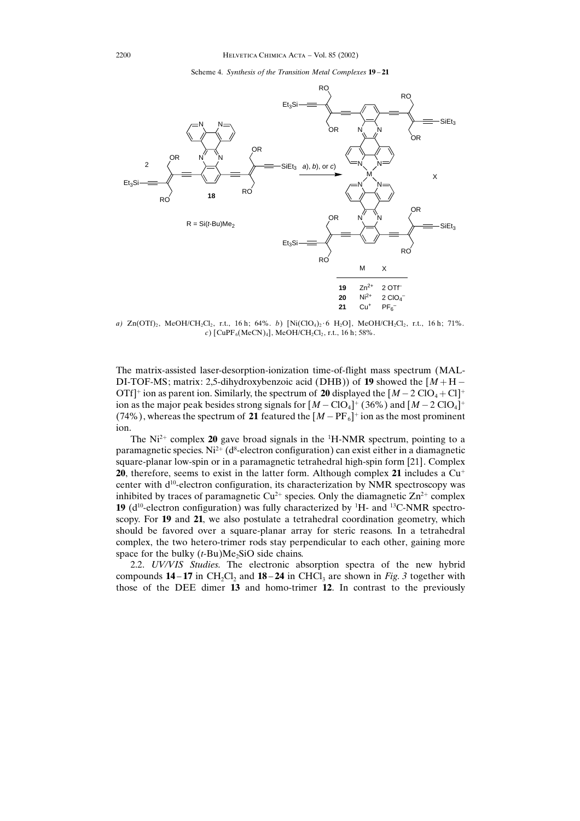Scheme 4. Synthesis of the Transition Metal Complexes  $19-21$ 



a)  $Zn(OTf)_2$ , MeOH/CH<sub>2</sub>Cl<sub>2</sub>, r.t., 16 h; 64%. b) [Ni(ClO<sub>4</sub>)<sub>2</sub>·6 H<sub>2</sub>O], MeOH/CH<sub>2</sub>Cl<sub>2</sub>, r.t., 16 h; 71%. c) [CuPF<sub>6</sub>(MeCN)<sub>4</sub>], MeOH/CH<sub>2</sub>Cl<sub>2</sub>, r.t., 16 h; 58%.

The matrix-assisted laser-desorption-ionization time-of-flight mass spectrum (MAL-DI-TOF-MS; matrix: 2,5-dihydroxybenzoic acid (DHB)) of 19 showed the  $[M + H -$ OTf<sup> $\uparrow$ </sup> ion as parent ion. Similarly, the spectrum of 20 displayed the  $[M - 2 ClO<sub>4</sub> + Cl<sup>\uparrow</sup>$ ion as the major peak besides strong signals for  $[M - ClO_4]^+$  (36%) and  $[M - 2 ClO_4]^+$ (74%), whereas the spectrum of 21 featured the  $[M - PF_6]$ <sup>+</sup> ion as the most prominent ion.

The  $Ni^{2+}$  complex 20 gave broad signals in the  $^1$ H-NMR spectrum, pointing to a paramagnetic species. Ni<sup>2+</sup> (d<sup>8</sup>-electron configuration) can exist either in a diamagnetic square-planar low-spin or in a paramagnetic tetrahedral high-spin form [21]. Complex 20, therefore, seems to exist in the latter form. Although complex 21 includes a  $Cu<sup>+</sup>$ center with d<sup>10</sup>-electron configuration, its characterization by NMR spectroscopy was inhibited by traces of paramagnetic  $Cu^{2+}$  species. Only the diamagnetic  $Zn^{2+}$  complex **19** ( $d^{10}$ -electron configuration) was fully characterized by <sup>1</sup>H- and <sup>13</sup>C-NMR spectroscopy. For 19 and 21, we also postulate a tetrahedral coordination geometry, which should be favored over a square-planar array for steric reasons. In a tetrahedral complex, the two hetero-trimer rods stay perpendicular to each other, gaining more space for the bulky  $(t-Bu)Me<sub>2</sub>SiO$  side chains.

2.2. UV/VIS Studies. The electronic absorption spectra of the new hybrid compounds  $14-17$  in CH<sub>2</sub>Cl<sub>2</sub> and  $18-24$  in CHCl<sub>3</sub> are shown in Fig. 3 together with those of the DEE dimer 13 and homo-trimer 12. In contrast to the previously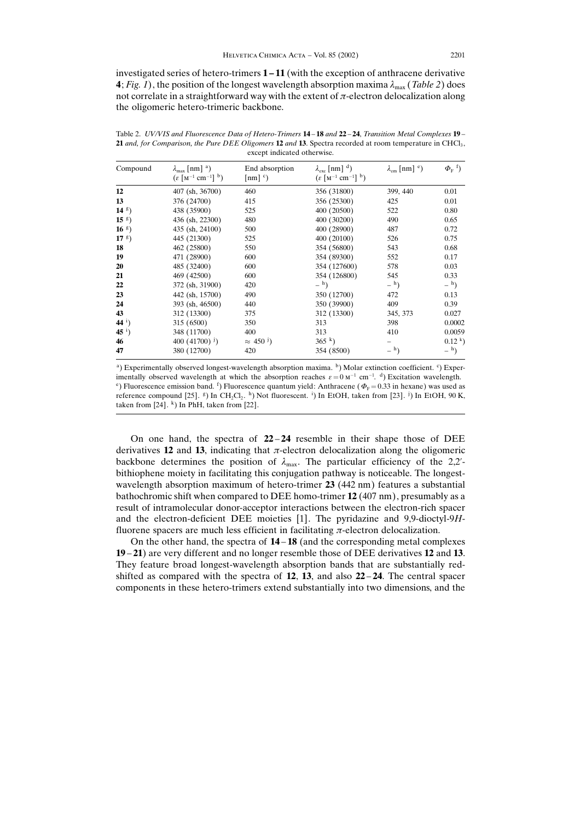investigated series of hetero-trimers  $1 - 11$  (with the exception of anthracene derivative 4; Fig. 1), the position of the longest wavelength absorption maxima  $\lambda_{\text{max}}$  (Table 2) does not correlate in a straightforward way with the extent of  $\pi$ -electron delocalization along the oligomeric hetero-trimeric backbone.

Table 2. UV/VIS and Fluorescence Data of Hetero-Trimers 14-18 and 22-24, Transition Metal Complexes 19-21 and, for Comparison, the Pure DEE Oligomers 12 and 13. Spectra recorded at room temperature in CHCl<sub>3</sub>, except indicated otherwise.

| Compound     | $\lambda_{\text{max}}$ [nm] <sup>a</sup> )<br>$(\varepsilon \, [\text{M}^{-1} \, \text{cm}^{-1}]^{-b})$ | End absorption<br>$\lceil nm \rceil$ c) | $\lambda_{\rm exc}$ [nm] $^{\rm d}$ )<br>$(\varepsilon \, [\text{M}^{-1} \text{ cm}^{-1}]^{-b})$ | $\lambda_{\rm em}$ [nm] $\rm ^e$ ) | $\Phi_{\rm F}$ <sup>f</sup> ) |  |
|--------------|---------------------------------------------------------------------------------------------------------|-----------------------------------------|--------------------------------------------------------------------------------------------------|------------------------------------|-------------------------------|--|
| 12           | 407 (sh, 36700)                                                                                         | 460                                     | 356 (31800)                                                                                      | 399, 440                           | 0.01                          |  |
| 13           | 376 (24700)                                                                                             | 415                                     | 356 (25300)                                                                                      | 425                                | 0.01                          |  |
| $14g$ )      | 438 (35900)                                                                                             | 525                                     | 400 (20500)                                                                                      | 522                                | 0.80                          |  |
| $15g$ )      | 436 (sh, 22300)                                                                                         | 480                                     | 400 (30200)                                                                                      | 490                                | 0.65                          |  |
| $16g$ )      | 435 (sh, 24100)                                                                                         | 500                                     | 400 (28900)                                                                                      | 487                                | 0.72                          |  |
| $17g$ )      | 445 (21300)                                                                                             | 525                                     | 400 (20100)                                                                                      | 526                                | 0.75                          |  |
| 18           | 462 (25800)                                                                                             | 550                                     | 354 (56800)                                                                                      | 543                                | 0.68                          |  |
| 19           | 471 (28900)                                                                                             | 600                                     | 354 (89300)                                                                                      | 552                                | 0.17                          |  |
| 20           | 485 (32400)                                                                                             | 600                                     | 354 (127600)                                                                                     | 578                                | 0.03                          |  |
| 21           | 469 (42500)                                                                                             | 600                                     | 354 (126800)                                                                                     | 545                                | 0.33                          |  |
| 22           | 372 (sh, 31900)                                                                                         | 420                                     | $-$ <sup>h</sup> )                                                                               | $-$ <sup>h</sup> )                 | $-$ <sup>h</sup> )            |  |
| 23           | 442 (sh, 15700)                                                                                         | 490                                     | 350 (12700)                                                                                      | 472                                | 0.13                          |  |
| 24           | 393 (sh, 46500)                                                                                         | 440                                     | 350 (39900)                                                                                      | 409                                | 0.39                          |  |
| 43           | 312 (13300)                                                                                             | 375                                     | 312 (13300)                                                                                      | 345, 373                           | 0.027                         |  |
| $44^{\circ}$ | 315 (6500)                                                                                              | 350                                     | 313                                                                                              | 398                                | 0.0002                        |  |
| $451$ )      | 348 (11700)                                                                                             | 400                                     | 313                                                                                              | 410                                | 0.0059                        |  |
| 46           | 400 (41700) <sup>j</sup> )                                                                              | $\approx$ 450 <sup>J</sup> )            | 365 k                                                                                            |                                    | 0.12 k                        |  |
| 47           | 380 (12700)                                                                                             | 420                                     | 354 (8500)                                                                                       | $-$ <sup>h</sup> )                 | $-$ <sup>h</sup> )            |  |

<sup>a</sup>) Experimentally observed longest-wavelength absorption maxima. <sup>b</sup>) Molar extinction coefficient. <sup>c</sup>) Experimentally observed wavelength at which the absorption reaches  $\varepsilon = 0$  M<sup>-1</sup> cm<sup>-1</sup>. <sup>d</sup>) Excitation wavelength. <sup>e</sup>) Fluorescence emission band. <sup>f</sup>) Fluorescence quantum yield: Anthracene ( $\Phi$ <sub>F</sub> = 0.33 in hexane) was used as reference compound [25]. <sup>g</sup>) In CH<sub>2</sub>Cl<sub>2</sub>. <sup>h</sup>) Not fluorescent. <sup>i</sup>) In EtOH, taken from [23]. <sup>j</sup>) In EtOH, 90 K, taken from  $[24]$ . <sup>k</sup>) In PhH, taken from  $[22]$ .

On one hand, the spectra of  $22 - 24$  resemble in their shape those of DEE derivatives 12 and 13, indicating that  $\pi$ -electron delocalization along the oligomeric backbone determines the position of  $\lambda_{\text{max}}$ . The particular efficiency of the 2,2'bithiophene moiety in facilitating this conjugation pathway is noticeable. The longestwavelength absorption maximum of hetero-trimer 23 (442 nm) features a substantial bathochromic shift when compared to DEE homo-trimer 12 (407 nm), presumably as a result of intramolecular donor-acceptor interactions between the electron-rich spacer and the electron-deficient DEE moieties [1]. The pyridazine and 9,9-dioctyl-9Hfluorene spacers are much less efficient in facilitating  $\pi$ -electron delocalization.

On the other hand, the spectra of  $14-18$  (and the corresponding metal complexes 19 - 21) are very different and no longer resemble those of DEE derivatives 12 and 13. They feature broad longest-wavelength absorption bands that are substantially redshifted as compared with the spectra of  $12$ ,  $13$ , and also  $22-24$ . The central spacer components in these hetero-trimers extend substantially into two dimensions, and the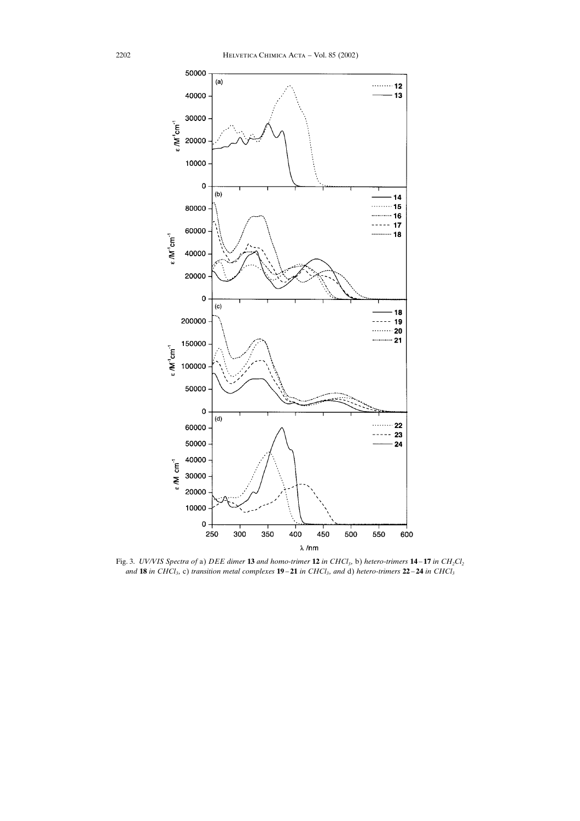

Fig. 3. UV/VIS Spectra of a) DEE dimer 13 and homo-trimer 12 in CHCl<sub>3</sub>, b) hetero-trimers 14–17 in CH<sub>2</sub>Cl<sub>2</sub> and 18 in CHCl<sub>3</sub>, c) transition metal complexes 19–21 in CHCl<sub>3</sub>, and d) hetero-trimers 22–24 in CHCl<sub>3</sub>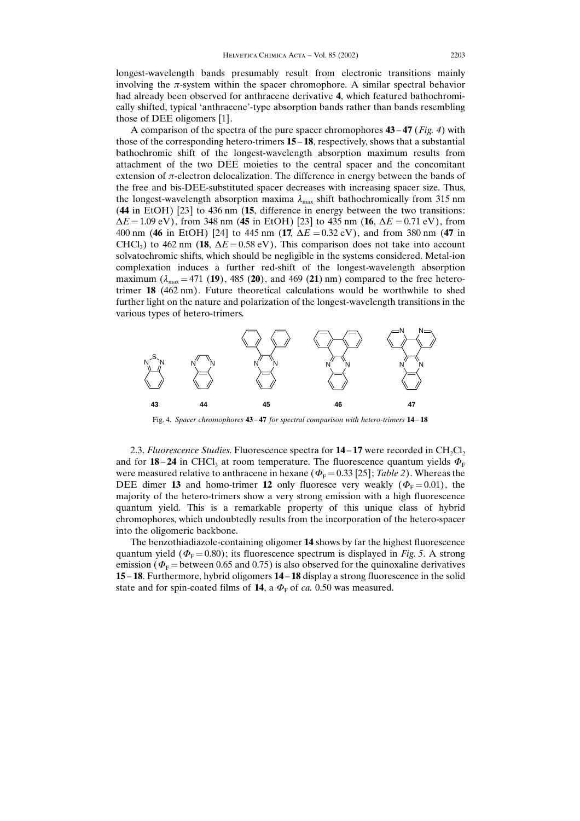longest-wavelength bands presumably result from electronic transitions mainly involving the  $\pi$ -system within the spacer chromophore. A similar spectral behavior had already been observed for anthracene derivative 4, which featured bathochromically shifted, typical 'anthracene'-type absorption bands rather than bands resembling those of DEE oligomers [1].

A comparison of the spectra of the pure spacer chromophores  $43-47$  (Fig. 4) with those of the corresponding hetero-trimers  $15 - 18$ , respectively, shows that a substantial bathochromic shift of the longest-wavelength absorption maximum results from attachment of the two DEE moieties to the central spacer and the concomitant extension of  $\pi$ -electron delocalization. The difference in energy between the bands of the free and bis-DEE-substituted spacer decreases with increasing spacer size. Thus, the longest-wavelength absorption maxima  $\lambda_{\text{max}}$  shift bathochromically from 315 nm (44 in EtOH) [23] to 436 nm (15, difference in energy between the two transitions:  $\Delta E = 1.09$  eV), from 348 nm (45 in EtOH) [23] to 435 nm (16,  $\Delta E = 0.71$  eV), from 400 nm (46 in EtOH) [24] to 445 nm (17,  $\Delta E = 0.32$  eV), and from 380 nm (47 in CHCl<sub>3</sub>) to 462 nm (18,  $\Delta E = 0.58$  eV). This comparison does not take into account solvatochromic shifts, which should be negligible in the systems considered. Metal-ion complexation induces a further red-shift of the longest-wavelength absorption maximum  $(\lambda_{\text{max}} = 471 \text{ (19)}, 485 \text{ (20)}, \text{ and } 469 \text{ (21)} \text{ nm})$  compared to the free heterotrimer 18 (462 nm). Future theoretical calculations would be worthwhile to shed further light on the nature and polarization of the longest-wavelength transitions in the various types of hetero-trimers.



Fig. 4. Spacer chromophores 43-47 for spectral comparison with hetero-trimers 14-18

2.3. Fluorescence Studies. Fluorescence spectra for  $14 - 17$  were recorded in CH<sub>2</sub>Cl<sub>2</sub> and for 18–24 in CHCl<sub>3</sub> at room temperature. The fluorescence quantum yields  $\Phi_{\rm F}$ were measured relative to anthracene in hexane ( $\Phi_F = 0.33$  [25]; Table 2). Whereas the DEE dimer 13 and homo-trimer 12 only fluoresce very weakly ( $\Phi$ <sub>F</sub>=0.01), the majority of the hetero-trimers show a very strong emission with a high fluorescence quantum yield. This is a remarkable property of this unique class of hybrid chromophores, which undoubtedly results from the incorporation of the hetero-spacer into the oligomeric backbone.

The benzothiadiazole-containing oligomer 14 shows by far the highest fluorescence quantum yield ( $\Phi$ <sub>F</sub> = 0.80); its fluorescence spectrum is displayed in Fig. 5. A strong emission ( $\Phi_F$  = between 0.65 and 0.75) is also observed for the quinoxaline derivatives 15 – 18. Furthermore, hybrid oligomers 14 – 18 display a strong fluorescence in the solid state and for spin-coated films of  $14$ , a  $\varPhi_{\rm F}$  of *ca*. 0.50 was measured.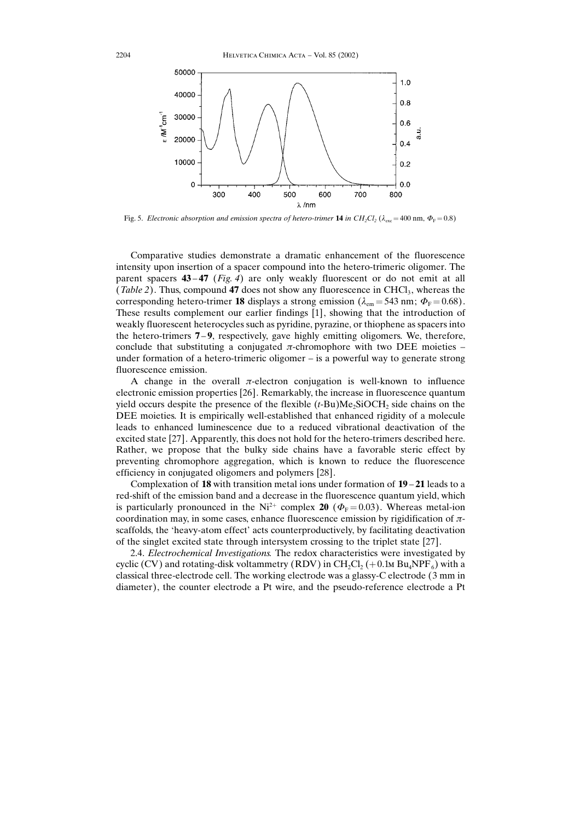

Fig. 5. Electronic absorption and emission spectra of hetero-trimer **14** in  $CH_2Cl_2$  ( $\lambda_{\text{exc}}$  = 400 nm,  $\Phi_{\text{F}}$  = 0.8)

Comparative studies demonstrate a dramatic enhancement of the fluorescence intensity upon insertion of a spacer compound into the hetero-trimeric oligomer. The parent spacers  $43-47$  (Fig. 4) are only weakly fluorescent or do not emit at all (Table 2). Thus, compound 47 does not show any fluorescence in CHCl<sub>3</sub>, whereas the corresponding hetero-trimer **18** displays a strong emission ( $\lambda_{em}$  = 543 nm;  $\Phi_{\rm F}$  = 0.68). These results complement our earlier findings [1], showing that the introduction of weakly fluorescent heterocycles such as pyridine, pyrazine, or thiophene as spacers into the hetero-trimers  $7-9$ , respectively, gave highly emitting oligomers. We, therefore, conclude that substituting a conjugated  $\pi$ -chromophore with two DEE moieties – under formation of a hetero-trimeric oligomer  $-\text{ is a powerful way to generate strong}$ fluorescence emission.

A change in the overall  $\pi$ -electron conjugation is well-known to influence electronic emission properties [26]. Remarkably, the increase in fluorescence quantum yield occurs despite the presence of the flexible  $(t-Bu)Me<sub>2</sub>SiOCH<sub>2</sub>$  side chains on the DEE moieties. It is empirically well-established that enhanced rigidity of a molecule leads to enhanced luminescence due to a reduced vibrational deactivation of the excited state [27]. Apparently, this does not hold for the hetero-trimers described here. Rather, we propose that the bulky side chains have a favorable steric effect by preventing chromophore aggregation, which is known to reduce the fluorescence efficiency in conjugated oligomers and polymers [28].

Complexation of 18 with transition metal ions under formation of  $19 - 21$  leads to a red-shift of the emission band and a decrease in the fluorescence quantum yield, which is particularly pronounced in the Ni<sup>2+</sup> complex 20 ( $\Phi$ <sub>F</sub> = 0.03). Whereas metal-ion coordination may, in some cases, enhance fluorescence emission by rigidification of  $\pi$ scaffolds, the  $'$ heavy-atom effect' acts counterproductively, by facilitating deactivation of the singlet excited state through intersystem crossing to the triplet state [27].

2.4. Electrochemical Investigations. The redox characteristics were investigated by cyclic (CV) and rotating-disk voltammetry (RDV) in  $CH_2Cl_2$  (+0.1 MBu<sub>4</sub>NPF<sub>6</sub>) with a classical three-electrode cell. The working electrode was a glassy-C electrode (3mm in diameter), the counter electrode a Pt wire, and the pseudo-reference electrode a Pt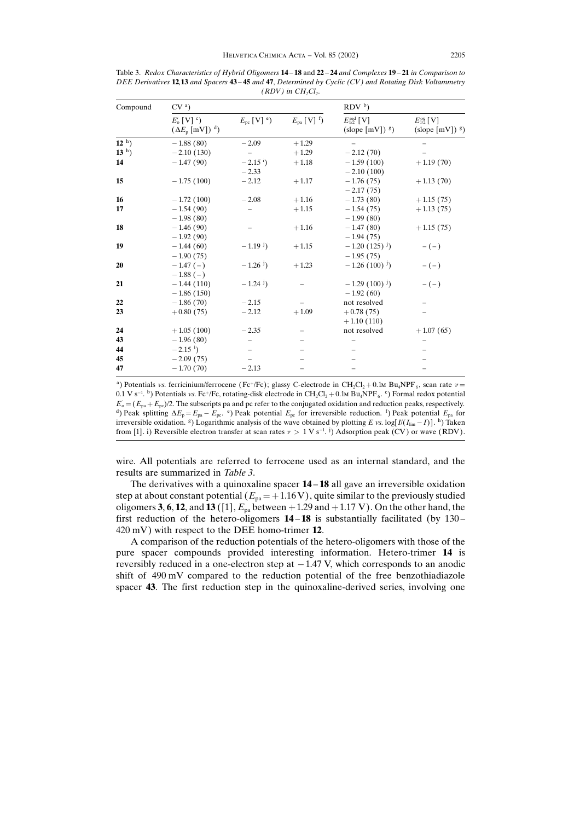| Compound | CV <sup>a</sup>                                                        |                            |                                     | $RDV^b$                                                     |                                                                   |  |
|----------|------------------------------------------------------------------------|----------------------------|-------------------------------------|-------------------------------------------------------------|-------------------------------------------------------------------|--|
|          | $E_{\rm o}$ [V] $\rm ^c$ )<br>$(\Delta E_{\rm p}$ [mV]) <sup>d</sup> ) | $E_{\rm pc}$ [V] $\rm^e$ ) | $E_{\text{pa}}$ [V] $^{\text{f}}$ ) | $E_{1/2}^{\text{red}}$ [V]<br>$(slope [mV])$ <sup>g</sup> ) | $E_{1/2}^{\text{ox}}$ [V]<br>$(\text{slope} [mV])$ <sup>g</sup> ) |  |
| $12h$ )  | $-1.88(80)$                                                            | $-2.09$                    | $+1.29$                             |                                                             |                                                                   |  |
| $13h$ )  | $-2.10(130)$                                                           |                            | $+1.29$                             | $-2.12(70)$                                                 |                                                                   |  |
| 14       | $-1.47(90)$                                                            | $-2.15$ <sup>i</sup> )     | $+1.18$                             | $-1.59(100)$                                                | $+1.19(70)$                                                       |  |
|          |                                                                        | $-2.33$                    |                                     | $-2.10(100)$                                                |                                                                   |  |
| 15       | $-1.75(100)$                                                           | $-2.12$                    | $+1.17$                             | $-1.76(75)$                                                 | $+1.13(70)$                                                       |  |
|          |                                                                        |                            |                                     | $-2.17(75)$                                                 |                                                                   |  |
| 16       | $-1.72(100)$                                                           | $-2.08$                    | $+1.16$                             | $-1.73(80)$                                                 | $+1.15(75)$                                                       |  |
| 17       | $-1.54(90)$                                                            |                            | $+1.15$                             | $-1.54(75)$                                                 | $+1.13(75)$                                                       |  |
|          | $-1.98(80)$                                                            |                            |                                     | $-1.99(80)$                                                 |                                                                   |  |
| 18       | $-1.46(90)$                                                            |                            | $+1.16$                             | $-1.47(80)$                                                 | $+1.15(75)$                                                       |  |
|          | $-1.92(90)$                                                            |                            |                                     | $-1.94(75)$                                                 |                                                                   |  |
| 19       | $-1.44(60)$                                                            | $-1.19^{j}$                | $+1.15$                             | $-1.20(125)^{j}$                                            | $-(-)$                                                            |  |
|          | $-1.90(75)$                                                            |                            |                                     | $-1.95(75)$                                                 |                                                                   |  |
| 20       | $-1.47(-)$                                                             | $-1.26$ <sup>j</sup> )     | $+1.23$                             | $-1.26(100)^{j}$                                            | $-(-)$                                                            |  |
|          | $-1.88(-)$                                                             |                            |                                     |                                                             |                                                                   |  |
| 21       | $-1.44(110)$                                                           | $-1.24$ <sup>j</sup> )     |                                     | $-1.29(100)^{j}$                                            | $-(-)$                                                            |  |
|          | $-1.86(150)$                                                           |                            |                                     | $-1.92(60)$                                                 |                                                                   |  |
| 22       | $-1.86(70)$                                                            | $-2.15$                    |                                     | not resolved                                                |                                                                   |  |
| 23       | $+0.80(75)$                                                            | $-2.12$                    | $+1.09$                             | $+0.78(75)$                                                 |                                                                   |  |
|          |                                                                        |                            |                                     | $+1.10(110)$                                                |                                                                   |  |
| 24       | $+1.05(100)$                                                           | $-2.35$                    |                                     | not resolved                                                | $+1.07(65)$                                                       |  |
| 43       | $-1.96(80)$                                                            |                            |                                     |                                                             |                                                                   |  |
| 44       | $-2.15$ <sup>i</sup> )                                                 |                            |                                     |                                                             |                                                                   |  |
| 45       | $-2.09(75)$                                                            |                            |                                     |                                                             |                                                                   |  |
| 47       | $-1.70(70)$                                                            | $-2.13$                    |                                     |                                                             |                                                                   |  |

Table 3. Redox Characteristics of Hybrid Oligomers 14 - 18 and 22 - 24 and Complexes 19 - 21 in Comparison to DEE Derivatives 12,13 and Spacers 43-45 and 47, Determined by Cyclic (CV) and Rotating Disk Voltammetry  $(RDV)$  in  $CH_2Cl_2$ .

<sup>a</sup>) Potentials vs. ferricinium/ferrocene (Fc<sup>+</sup>/Fc); glassy C-electrode in CH<sub>2</sub>Cl<sub>2</sub> + 0.1M Bu<sub>4</sub>NPF<sub>6</sub>, scan rate  $\nu$  =  $0.1 \text{ V s}^{-1}$ . b) Potentials vs. Fc+/Fc, rotating-disk electrode in CH<sub>2</sub>Cl<sub>2</sub> + 0.1 MBu<sub>4</sub>NPF<sub>6</sub>. c) Formal redox potential  $E_0 = (E_{pa} + E_{pc})/2$ . The subscripts pa and pc refer to the conjugated oxidation and reduction peaks, respectively.  $E_o = (E_{pa} + E_{pc})/2$ . The subscripts pa and pc refer to the conjugated oxidation and reduction peaks, respectively.  $d$ ) Peak splitting  $\Delta E_p = E_{pa} - E_{pc}$ . <sup>e</sup>) Peak potential  $E_{pe}$  for irreversible reduction. <sup>f</sup>) Peak poten irreversible oxidation. <sup>g</sup>) Logarithmic analysis of the wave obtained by plotting E vs. log[ $I/(I_{\text{lim}} - I)$ ]. h) Taken from [1]. i) Reversible electron transfer at scan rates  $v > 1$  V s<sup>-1</sup>. <sup>j</sup>) Adsorption peak (CV) or wave (RDV).

wire. All potentials are referred to ferrocene used as an internal standard, and the results are summarized in Table 3.

The derivatives with a quinoxaline spacer  $14 - 18$  all gave an irreversible oxidation step at about constant potential ( $E_{pa} = +1.16 \text{V}$ ), quite similar to the previously studied oligomers 3, 6, 12, and 13 ([1],  $E_{pa}$  between +1.29 and +1.17 V). On the other hand, the first reduction of the hetero-oligomers  $14 - 18$  is substantially facilitated (by 130 -420 mV) with respect to the DEE homo-trimer 12.

A comparison of the reduction potentials of the hetero-oligomers with those of the pure spacer compounds provided interesting information. Hetero-trimer 14 is reversibly reduced in a one-electron step at  $-1.47$  V, which corresponds to an anodic shift of 490 mV compared to the reduction potential of the free benzothiadiazole spacer 43. The first reduction step in the quinoxaline-derived series, involving one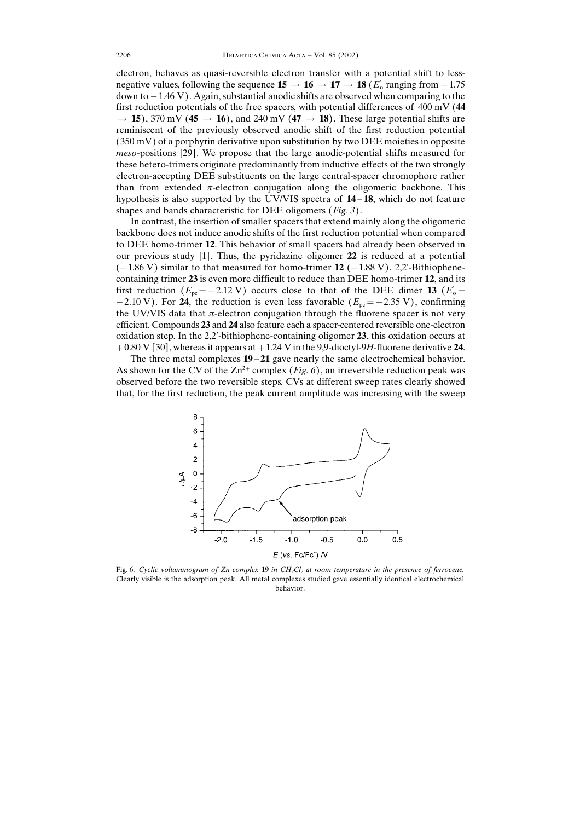electron, behaves as quasi-reversible electron transfer with a potential shift to lessnegative values, following the sequence  $15 \rightarrow 16 \rightarrow 17 \rightarrow 18$  ( $E_0$  ranging from  $-1.75$ ) down to  $-1.46$  V). Again, substantial anodic shifts are observed when comparing to the first reduction potentials of the free spacers, with potential differences of 400 mV (44  $\rightarrow$  15), 370 mV (45  $\rightarrow$  16), and 240 mV (47  $\rightarrow$  18). These large potential shifts are reminiscent of the previously observed anodic shift of the first reduction potential (350 mV) of a porphyrin derivative upon substitution by two DEE moieties in opposite meso-positions [29]. We propose that the large anodic-potential shifts measured for these hetero-trimers originate predominantly from inductive effects of the two strongly electron-accepting DEE substituents on the large central-spacer chromophore rather than from extended  $\pi$ -electron conjugation along the oligomeric backbone. This hypothesis is also supported by the UV/VIS spectra of  $14-18$ , which do not feature shapes and bands characteristic for DEE oligomers (*Fig. 3*).

In contrast, the insertion of smaller spacers that extend mainly along the oligomeric backbone does not induce anodic shifts of the first reduction potential when compared to DEE homo-trimer 12. This behavior of small spacers had already been observed in our previous study [1]. Thus, the pyridazine oligomer 22 is reduced at a potential  $(-1.86 \text{ V})$  similar to that measured for homo-trimer 12  $(-1.88 \text{ V})$ . 2,2'-Bithiophenecontaining trimer 23 is even more difficult to reduce than DEE homo-trimer 12, and its first reduction  $(E_{\text{pc}} = -2.12 \text{ V})$  occurs close to that of the DEE dimer 13 ( $E_{\text{o}} =$ -2.10 V). For 24, the reduction is even less favorable ( $E_{\text{pc}} = -2.35$  V), confirming the UV/VIS data that  $\pi$ -electron conjugation through the fluorene spacer is not very efficient. Compounds 23 and 24 also feature each a spacer-centered reversible one-electron oxidation step. In the 2,2-bithiophene-containing oligomer 23, this oxidation occurs at  $+0.80$  V [30], whereas it appears at  $+1.24$  V in the 9.9-dioctyl-9H-fluorene derivative 24.

The three metal complexes  $19 - 21$  gave nearly the same electrochemical behavior. As shown for the CV of the  $Zn^{2+}$  complex (*Fig. 6*), an irreversible reduction peak was observed before the two reversible steps. CVs at different sweep rates clearly showed that, for the first reduction, the peak current amplitude was increasing with the sweep



Fig. 6. Cyclic voltammogram of Zn complex 19 in  $CH_2Cl_2$  at room temperature in the presence of ferrocene. Clearly visible is the adsorption peak. All metal complexes studied gave essentially identical electrochemical behavior.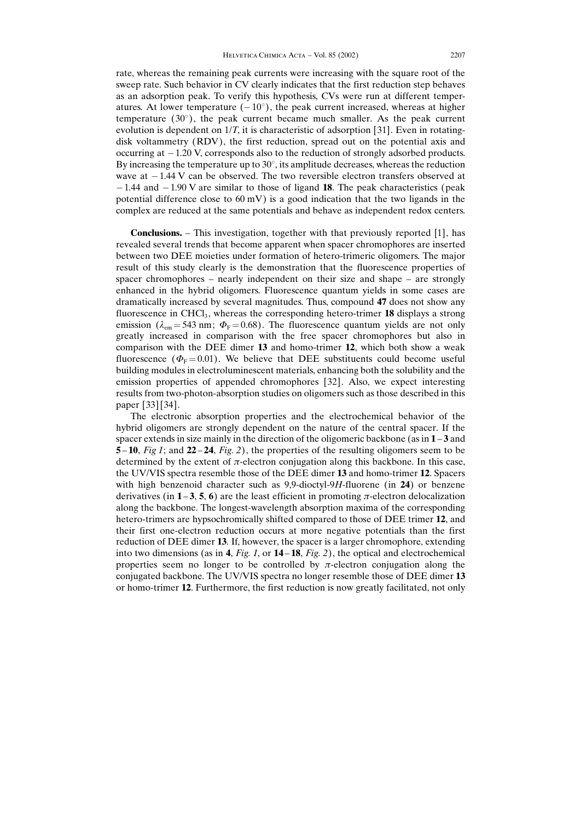rate, whereas the remaining peak currents were increasing with the square root of the sweep rate. Such behavior in CV clearly indicates that the first reduction step behaves as an adsorption peak. To verify this hypothesis, CVs were run at different temperatures. At lower temperature  $(-10^{\circ})$ , the peak current increased, whereas at higher temperature  $(30^{\circ})$ , the peak current became much smaller. As the peak current evolution is dependent on 1/T, it is characteristic of adsorption [31]. Even in rotatingdisk voltammetry (RDV), the first reduction, spread out on the potential axis and occurring at  $-1.20$  V, corresponds also to the reduction of strongly adsorbed products. By increasing the temperature up to 30 $^{\circ}$ , its amplitude decreases, whereas the reduction wave at  $-1.44$  V can be observed. The two reversible electron transfers observed at  $-1.44$  and  $-1.90$  V are similar to those of ligand 18. The peak characteristics (peak potential difference close to  $60 \text{ mV}$ ) is a good indication that the two ligands in the complex are reduced at the same potentials and behave as independent redox centers.

**Conclusions.**  $-$  This investigation, together with that previously reported [1], has revealed several trends that become apparent when spacer chromophores are inserted between two DEE moieties under formation of hetero-trimeric oligomers. The major result of this study clearly is the demonstration that the fluorescence properties of spacer chromophores  $-$  nearly independent on their size and shape  $-$  are strongly enhanced in the hybrid oligomers. Fluorescence quantum yields in some cases are dramatically increased by several magnitudes. Thus, compound 47 does not show any fluorescence in  $CHCl<sub>3</sub>$ , whereas the corresponding hetero-trimer 18 displays a strong emission ( $\lambda_{em}$  = 543 nm;  $\Phi$ <sub>F</sub> = 0.68). The fluorescence quantum yields are not only greatly increased in comparison with the free spacer chromophores but also in comparison with the DEE dimer 13 and homo-trimer 12, which both show a weak fluorescence ( $\Phi_{\rm F}$ =0.01). We believe that DEE substituents could become useful building modules in electroluminescent materials, enhancing both the solubility and the emission properties of appended chromophores [32]. Also, we expect interesting results from two-photon-absorption studies on oligomers such as those described in this paper [33] [34].

The electronic absorption properties and the electrochemical behavior of the hybrid oligomers are strongly dependent on the nature of the central spacer. If the spacer extends in size mainly in the direction of the oligomeric backbone (as in  $1 - 3$  and 5 – 10, Fig 1; and 22 – 24, Fig. 2), the properties of the resulting oligomers seem to be determined by the extent of  $\pi$ -electron conjugation along this backbone. In this case, the UV/VIS spectra resemble those of the DEE dimer 13 and homo-trimer 12. Spacers with high benzenoid character such as  $9.9$ -dioctyl- $9H$ -fluorene (in 24) or benzene derivatives (in  $1-3$ , 5, 6) are the least efficient in promoting  $\pi$ -electron delocalization along the backbone. The longest-wavelength absorption maxima of the corresponding hetero-trimers are hypsochromically shifted compared to those of DEE trimer 12, and their first one-electron reduction occurs at more negative potentials than the first reduction of DEE dimer 13. If, however, the spacer is a larger chromophore, extending into two dimensions (as in 4, Fig. 1, or  $14-18$ , Fig. 2), the optical and electrochemical properties seem no longer to be controlled by  $\pi$ -electron conjugation along the conjugated backbone. The UV/VIS spectra no longer resemble those of DEE dimer 13 or homo-trimer 12. Furthermore, the first reduction is now greatly facilitated, not only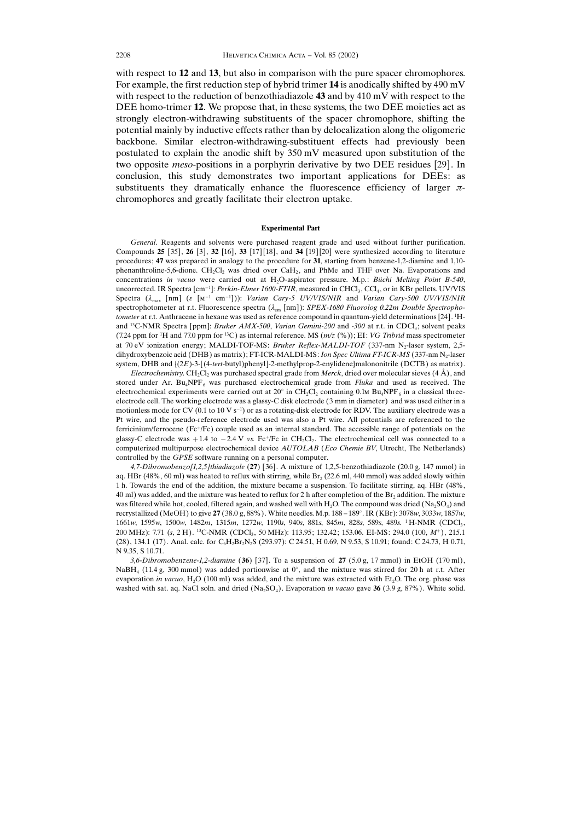with respect to 12 and 13, but also in comparison with the pure spacer chromophores. For example, the first reduction step of hybrid trimer 14 is anodically shifted by 490 mV with respect to the reduction of benzothiadiazole 43 and by 410 mV with respect to the DEE homo-trimer 12. We propose that, in these systems, the two DEE moieties act as strongly electron-withdrawing substituents of the spacer chromophore, shifting the potential mainly by inductive effects rather than by delocalization along the oligomeric backbone. Similar electron-withdrawing-substituent effects had previously been postulated to explain the anodic shift by 350 mV measured upon substitution of the two opposite meso-positions in a porphyrin derivative by two DEE residues [29]. In conclusion, this study demonstrates two important applications for DEEs: as substituents they dramatically enhance the fluorescence efficiency of larger  $\pi$ chromophores and greatly facilitate their electron uptake.

## Experimental Part

General. Reagents and solvents were purchased reagent grade and used without further purification. Compounds 25 [35], 26 [3], 32 [16], 33 [17] [18], and 34 [19] [20] were synthesized according to literature procedures; 47 was prepared in analogy to the procedure for 31, starting from benzene-1,2-diamine and 1,10 phenanthroline-5,6-dione. CH<sub>2</sub>Cl<sub>2</sub> was dried over CaH<sub>2</sub>, and PhMe and THF over Na. Evaporations and concentrations in vacuo were carried out at H<sub>2</sub>O-aspirator pressure. M.p.: Büchi Melting Point B-540, uncorrected. IR Spectra [cm<sup>-1</sup>]: Perkin-Elmer 1600-FTIR, measured in CHCl<sub>3</sub>, CCl<sub>4</sub>, or in KBr pellets. UV/VIS Spectra  $(\lambda_{\text{max}} [\text{nm}]$  ( $\varepsilon [\text{m}^{-1} \text{cm}^{-1}])$ ): Varian Cary-5 UV/VIS/NIR and Varian Cary-500 UV/VIS/NIR spectrophotometer at r.t. Fluorescence spectra ( $\lambda_{em}$  [nm]): SPEX-1680 Fluorolog 0.22m Double Spectrophotometer at r.t. Anthracene in hexane was used as reference compound in quantum-yield determinations [24]. <sup>1</sup>Hand <sup>13</sup>C-NMR Spectra [ppm]: Bruker AMX-500, Varian Gemini-200 and -300 at r.t. in CDCl<sub>3</sub>; solvent peaks (7.24 ppm for <sup>1</sup>H and 77.0 ppm for <sup>13</sup>C) as internal reference. MS  $(m/z \, (*)$ ); EI: *VG Tribrid* mass spectrometer at 70 eV ionization energy; MALDI-TOF-MS: Bruker Reflex-MALDI-TOF (337-nm N<sub>2</sub>-laser system, 2,5dihydroxybenzoic acid (DHB) as matrix); FT-ICR-MALDI-MS: Ion Spec Ultima FT-ICR-MS (337-nm N<sub>2</sub>-laser system, DHB and  ${(2E)}$ -3-[(4-tert-butyl)phenyl]-2-methylprop-2-enylidene}malononitrile (DCTB) as matrix).

*Electrochemistry.* CH<sub>2</sub>Cl<sub>2</sub> was purchased spectral grade from *Merck*, dried over molecular sieves (4  $\AA$ ), and stored under Ar.  $Bu_4NPF_6$  was purchased electrochemical grade from *Fluka* and used as received. The electrochemical experiments were carried out at  $20^{\circ}$  in CH<sub>2</sub>Cl<sub>2</sub> containing 0.1M Bu<sub>4</sub>NPF<sub>6</sub> in a classical threeelectrode cell. The working electrode was a glassy-C disk electrode (3mm in diameter) and was used either in a motionless mode for CV (0.1 to 10 V s<sup>-1</sup>) or as a rotating-disk electrode for RDV. The auxiliary electrode was a Pt wire, and the pseudo-reference electrode used was also a Pt wire. All potentials are referenced to the ferricinium/ferrocene (Fc/Fc) couple used as an internal standard. The accessible range of potentials on the glassy-C electrode was  $+1.4$  to  $-2.4$  V vs. Fc<sup>+</sup>/Fc in CH<sub>2</sub>Cl<sub>2</sub>. The electrochemical cell was connected to a computerized multipurpose electrochemical device AUTOLAB (Eco Chemie BV, Utrecht, The Netherlands) controlled by the GPSE software running on a personal computer.

4,7-Dibromobenzo[1,2,5]thiadiazole (27) [36]. A mixture of 1,2,5-benzothiadiazole (20.0 g, 147 mmol) in aq. HBr (48%, 60 ml) was heated to reflux with stirring, while  $Br<sub>2</sub>$  (22.6 ml, 440 mmol) was added slowly within 1 h. Towards the end of the addition, the mixture became a suspension. To facilitate stirring, aq. HBr (48%,  $40$  ml) was added, and the mixture was heated to reflux for 2 h after completion of the Br<sub>2</sub> addition. The mixture was filtered while hot, cooled, filtered again, and washed well with H<sub>2</sub>O. The compound was dried (Na<sub>2</sub>SO<sub>4</sub>) and recrystallized (MeOH) to give **27** (38.0 g, 88%). White needles. M.p. 188 – 189°. IR (KBr): 3078*w*, 3033*w*, 1857*w*, 1661w, 1595w, 1500w, 1482m, 1315m, 1272w, 1190s, 940s, 881s, 845m, 828s, 589s, 489s. <sup>1</sup> H-NMR (CDCl3 , 200 MHz): 7.71 (s, 2 H). <sup>13</sup>C-NMR (CDCl<sub>3</sub>, 50 MHz): 113.95; 132.42; 153.06. EI-MS: 294.0 (100, M<sup>+</sup>), 215.1 (28), 134.1 (17). Anal. calc. for C<sub>6</sub>H<sub>2</sub>Br<sub>2</sub>N<sub>2</sub>S (293.97): C 24.51, H 0.69, N 9.53, S 10.91; found: C 24.73, H 0.71, N 9.35, S 10.71.

 $3,6$ -Dibromobenzene-1,2-diamine (36) [37]. To a suspension of 27 (5.0 g, 17 mmol) in EtOH (170 ml),  $NabH_4$  (11.4 g, 300 mmol) was added portionwise at 0°, and the mixture was stirred for 20 h at r.t. After evaporation in vacuo, H<sub>2</sub>O (100 ml) was added, and the mixture was extracted with Et<sub>2</sub>O. The org. phase was washed with sat. aq. NaCl soln. and dried  $(Na_2SO_4)$ . Evaporation in vacuo gave 36 (3.9 g, 87%). White solid.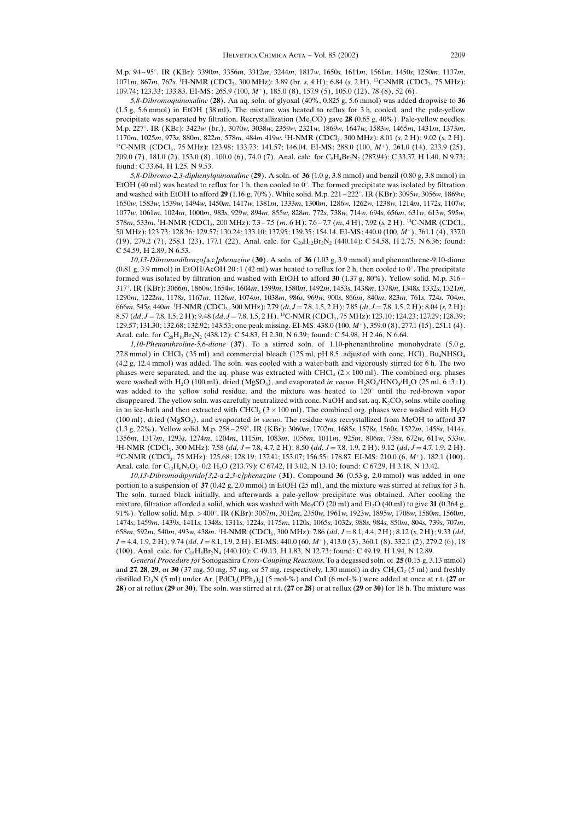M.p. 94 ± 95-. IR (KBr): 3390m, 3356m, 3312m, 3244m, 1817w, 1650s, 1611m, 1561m, 1450s, 1250m, 1137m, 1071m, 867m, 762s. <sup>1</sup>H-NMR (CDCl<sub>3</sub>, 300 MHz): 3.89 (br. s, 4 H); 6.84 (s, 2 H). <sup>13</sup>C-NMR (CDCl<sub>3</sub>, 75 MHz): 109.74; 123.33; 133.83. EI-MS: 265.9 (100, M<sup>+</sup>), 185.0 (8), 157.9 (5), 105.0 (12), 78 (8), 52 (6).

5,8-Dibromoquinoxaline (28). An aq. soln. of glyoxal (40%, 0.825 g, 5.6 mmol) was added dropwise to 36 (1.5 g, 5.6 mmol) in EtOH (38 ml). The mixture was heated to reflux for 3 h, cooled, and the pale-yellow precipitate was separated by filtration. Recrystallization (Me<sub>2</sub>CO) gave 28 (0.65 g, 40%). Pale-yellow needles. M.p. 227-. IR (KBr): 3423w (br.), 3070w, 3038w, 2359w, 2321w, 1869w, 1647w, 1583w, 1465m, 1431m, 1373m, 1170m, 1025m, 973s, 880m, 822m, 578m, 484m 419w. <sup>1</sup>H-NMR (CDCl<sub>3</sub>, 300 MHz): 8.01 (s, 2 H); 9.02 (s, 2 H).  $13C-NMR$  (CDCl<sub>3</sub>, 75 MHz): 123.98; 133.73; 141.57; 146.04. EI-MS: 288.0 (100, M<sup>+</sup>), 261.0 (14), 233.9 (25), 209.0 (7), 181.0 (2), 153.0 (8), 100.0 (6), 74.0 (7). Anal. calc. for C<sub>8</sub>H<sub>4</sub>Br<sub>2</sub>N<sub>2</sub> (287.94): C 33.37, H 1.40, N 9.73; found: C 33.64, H 1.25, N 9.53.

5,8-Dibromo-2,3-diphenylquinoxaline (29). A soln. of 36 (1.0 g, 3.8 mmol) and benzil (0.80 g, 3.8 mmol) in EtOH  $(40 \text{ ml})$  was heated to reflux for 1 h, then cooled to  $0^{\circ}$ . The formed precipitate was isolated by filtration and washed with EtOH to afford 29 (1.16 g, 70%). White solid. M.p. 221 – 222°. IR (KBr): 3095w, 3056w, 1869w, 1650w, 1583w, 1539w, 1494w, 1450m, 1417w, 1381m, 1333m, 1300m, 1286w, 1262w, 1238w, 1214m, 1172s, 1107w, 1077w, 1061m, 1024m, 1000m, 983s, 929w, 894m, 855w, 828m, 772s, 73 8w, 714w, 694s, 656m, 63 1w, 613w, 595w, 578m, 533m. <sup>1</sup>H-NMR (CDCl<sub>3</sub>, 200 MHz): 7.3–7.5 (m, 6 H); 7.6–7.7 (m, 4 H); 7.92 (s, 2 H). <sup>13</sup>C-NMR (CDCl<sub>3</sub>, 50 MHz): 123.73; 128.36; 129.57; 130.24; 133.10; 137.95; 139.35; 154.14. EI-MS: 440.0 (100, M<sup>+</sup>), 361.1 (4), 337.0 (19), 279.2 (7), 258.1 (23), 177.1 (22). Anal. calc. for  $C_{20}H_{12}Br_2N_2$  (440.14): C 54.58, H 2.75, N 6.36; found: C 54.59, H 2.89, N 6.53.

10,13-Dibromodibenzo[a,c]phenazine (30). A soln. of 36 (1.03 g, 3.9 mmol) and phenanthrene-9,10-dione  $(0.81 \text{ g}, 3.9 \text{ mmol})$  in EtOH/AcOH 20:1 (42 ml) was heated to reflux for 2 h, then cooled to  $0^{\circ}$ . The precipitate formed was isolated by filtration and washed with EtOH to afford 30 (1.37 g, 80%). Yellow solid. M.p. 316  $-$ 317-. IR (KBr): 3066m, 1860w, 1654w, 1604m, 1599m, 1580m, 1492m, 1453s, 1438m, 1378m, 1348s, 1332s, 1321m, 1290m, 1222m, 1178s, 1167m, 1126m, 1074m, 1038m, 986s, 969w, 900s, 866m, 840m, 823m, 761s, 724s, 704m, 666m, 545s, 440m. <sup>1</sup>H-NMR (CDCl<sub>3</sub>, 300 MHz): 7.79 (dt, J = 7.8, 1.5, 2 H); 7.85 (dt, J = 7.8, 1.5, 2 H); 8.04 (s, 2 H); 8.57 (dd, J = 7.8, 1.5, 2 H); 9.48 (dd, J = 7.8, 1.5, 2 H). <sup>13</sup>C-NMR (CDCl<sub>3</sub>, 75 MHz): 123.10; 124.23; 127.29; 128.39; 129.57; 131.30; 132.68; 132.92; 143.53; one peak missing. EI-MS: 438.0 (100, M), 359.0 (8), 277.1 (15), 251.1 (4). Anal. calc. for C<sub>20</sub>H<sub>10</sub>Br<sub>2</sub>N<sub>2</sub> (438.12): C 54.83, H 2.30, N 6.39; found: C 54.98, H 2.46, N 6.64.

1,10-Phenanthroline-5,6-dione (37). To a stirred soln. of 1,10-phenanthroline monohydrate (5.0 g, 27.8 mmol) in CHCl<sub>3</sub> (35 ml) and commercial bleach (125 ml, pH 8.5, adjusted with conc. HCl), Bu<sub>4</sub>NHSO<sub>4</sub> (4.2 g, 12.4 mmol) was added. The soln. was cooled with a water-bath and vigorously stirred for 6 h. The two phases were separated, and the aq. phase was extracted with CHCl<sub>3</sub> ( $2 \times 100$  ml). The combined org. phases were washed with H<sub>2</sub>O (100 ml), dried (MgSO<sub>4</sub>), and evaporated in vacuo. H<sub>2</sub>SO<sub>4</sub>/HNO<sub>3</sub>/H<sub>2</sub>O (25 ml, 6:3:1) was added to the yellow solid residue, and the mixture was heated to  $120^{\circ}$  until the red-brown vapor disappeared. The yellow soln. was carefully neutralized with conc. NaOH and sat. aq.  $K_2CO_3$  solns. while cooling in an ice-bath and then extracted with CHCl<sub>3</sub> ( $3 \times 100$  ml). The combined org. phases were washed with H<sub>2</sub>O (100 ml), dried (MgSO<sub>4</sub>), and evaporated in vacuo. The residue was recrystallized from MeOH to afford 37  $(1.3 \text{ g}, 22\%)$ . Yellow solid. M.p. 258–259°. IR  $(KBr)$ : 3060m, 1702m, 1685s, 1578s, 1560s, 1522m, 1458s, 1414s, 1356m, 1317m, 1293s, 1274m, 1204m, 1115m, 1083m, 1056m, 1011m, 925m, 806m, 738s, 672w, 611w, 533w. <sup>1</sup>H-NMR (CDCl<sub>3</sub>, 300 MHz): 7.58 (dd, J = 7.8, 4.7, 2 H); 8.50 (dd, J = 7.8, 1.9, 2 H); 9.12 (dd, J = 4.7, 1.9, 2 H).  $^{13}$ C-NMR (CDCl<sub>3</sub>, 75 MHz): 125.68; 128.19; 137.41; 153.07; 156.55; 178.87. EI-MS: 210.0 (6, M<sup>+</sup>), 182.1 (100). Anal. calc. for  $C_{12}H_6N_2O_2 \cdot 0.2$  H<sub>2</sub>O (213.79): C 67.42, H 3.02, N 13.10; found: C 67.29, H 3.18, N 13.42.

 $10,13$ -Dibromodipyrido[3,2-a:2,3-c]phenazine (31). Compound 36 (0.53 g, 2.0 mmol) was added in one portion to a suspension of 37 (0.42 g, 2.0 mmol) in EtOH (25 ml), and the mixture was stirred at reflux for 3 h. The soln. turned black initially, and afterwards a pale-yellow precipitate was obtained. After cooling the mixture, filtration afforded a solid, which was washed with Me<sub>2</sub>CO (20 ml) and Et<sub>2</sub>O (40 ml) to give 31 (0.364 g, 91%). Yellow solid. M.p. >400°. IR (KBr): 3067m, 3012m, 2350w, 1961w, 1923w, 1895w, 1708w, 1580m, 1560m, 1474s, 1459m, 1439s, 1411s, 1348s, 1311s, 1224s, 1175m, 1120s, 1065s, 1032s, 988s, 984s, 850m, 804s, 73 9s, 707m, 658m, 592m, 540m, 493w, 438m. <sup>1</sup>H-NMR (CDCl<sub>3</sub>, 300 MHz): 7.86 (dd, J = 8.1, 4.4, 2H); 8.12 (s, 2H); 9.33 (dd,  $J = 4.4, 1.9, 2$  H); 9.74 (dd,  $J = 8.1, 1.9, 2$  H). EI-MS: 440.0 (60, M<sup>+</sup>), 413.0 (3), 360.1 (8), 332.1 (2), 279.2 (6), 18 (100). Anal. calc. for C<sub>18</sub>H<sub>8</sub>Br<sub>2</sub>N<sub>4</sub> (440.10): C 49.13, H 1.83, N 12.73; found: C 49.19, H 1.94, N 12.89.

General Procedure for Sonogashira Cross-Coupling Reactions. To a degassed soln. of 25 (0.15 g, 3.13 mmol) and 27, 28, 29, or 30 (37 mg, 50 mg, 57 mg, or 57 mg, respectively, 1.30 mmol) in dry CH<sub>2</sub>Cl<sub>2</sub> (5 ml) and freshly distilled Et<sub>3</sub>N (5 ml) under Ar,  $[PdCl_2(PPh_3)_2]$  (5 mol-%) and CuI (6 mol-%) were added at once at r.t. (27 or 28) or at reflux  $(29 \text{ or } 30)$ . The soln. was stirred at r.t.  $(27 \text{ or } 28)$  or at reflux  $(29 \text{ or } 30)$  for 18 h. The mixture was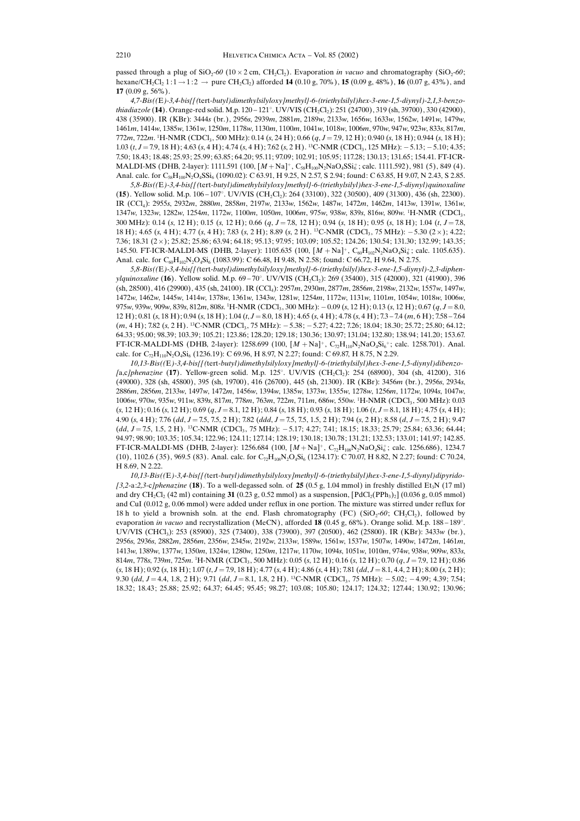passed through a plug of  $SiO_2$ -60 (10  $\times$  2 cm, CH<sub>2</sub>Cl<sub>2</sub>). Evaporation *in vacuo* and chromatography (SiO<sub>2</sub>-60; hexane/CH<sub>2</sub>Cl<sub>2</sub> 1:1  $\rightarrow$  1:2  $\rightarrow$  pure CH<sub>2</sub>Cl<sub>2</sub>) afforded **14** (0.10 g, 70%), **15** (0.09 g, 48%), **16** (0.07 g, 43%), and 17  $(0.09 \times 56\%)$ .

4,7-Bis((E)-3,4-bis{[(tert-butyl)dimethylsilyloxy]methyl}-6-(triethylsilyl)hex-3-ene-1,5-diynyl)-2,1,3-benzothiadiazole (**14**). Orange-red solid. M.p. 120 – 121°. UV/VIS (CH<sub>2</sub>Cl<sub>2</sub>): 251 (24700), 319 (sh, 39700), 330 (42900), 438 (35900). IR (KBr): 3444s (br.), 2956s, 2939m, 2881m, 2189w, 2133w, 1656w, 1633w, 1562w, 1491w, 1479w, 1461m, 1414w, 1385w, 1361w, 1250m, 1178w, 1130m, 1100m, 1041w, 1018w, 1006m, 970w, 947w, 923w, 83 3s, 817m, 772m, 722m. <sup>1</sup>H-NMR (CDCl<sub>3</sub>, 500 MHz): 0.14 (s, 24 H); 0.66 (q, J = 7.9, 12 H); 0.940 (s, 18 H); 0.944 (s, 18 H); 1.03 (t, J = 7.9, 18 H); 4.63 (s, 4 H); 4.74 (s, 4 H); 7.62 (s, 2 H). <sup>13</sup>C-NMR (CDCl<sub>3</sub>, 125 MHz): -5.13; -5.10; 4.35; 7.50; 18.43; 18.48; 25.93; 25.99; 63.85; 64.20; 95.11; 97.09; 102.91; 105.95; 117.28; 130.13; 131.65; 154.41. FT-ICR- $\text{MALDI-MS (DHB, 2-layer): } 1111.591 \text{ (100, } [M + \text{Na}]^+, C_{58}H_{100}N_2\text{NaO}_4\text{SSi}_6^+; \text{calc. } 1111.592), 981 \text{ (5)}, 849 \text{ (4)}.$ Anal. calc. for C<sub>58</sub>H<sub>100</sub>N<sub>2</sub>O<sub>4</sub>SSi<sub>6</sub> (1090.02): C 63.91, H 9.25, N 2.57, S 2.94; found: C 63.85, H 9.07, N 2.43, S 2.85.

5,8-Bis((E)-3,4-bis{[(tert-butyl)dimethylsilyloxy]methyl}-6-(triethylsilyl)hex-3-ene-1,5-diynyl)quinoxaline  $(15)$ . Yellow solid. M.p. 106–107°. UV/VIS  $(CH_2Cl_2)$ : 264  $(33100)$ , 322  $(30500)$ , 409  $(31300)$ , 436  $(sh, 22300)$ . IR (CCl4): 2955s, 2932m, 2880m, 2858m, 2197w, 2133w, 1562w, 1487w, 1472m, 1462m, 1413w, 1391w, 1361w,  $1347w$ ,  $1323w$ ,  $1282w$ ,  $1254m$ ,  $1172w$ ,  $1100m$ ,  $1050m$ ,  $1006m$ ,  $975w$ ,  $938w$ ,  $839s$ ,  $816w$ ,  $809w$ .  ${}^{1}$ H-NMR (CDCl<sub>3</sub>, 300 MHz): 0.14 (s, 12 H); 0.15 (s, 12 H); 0.66 (q, J = 7.8, 12 H); 0.94 (s, 18 H); 0.95 (s, 18 H); 1.04 (t, J = 7.8, 18 H); 4.65 (s, 4 H); 4.77 (s, 4 H); 7.83 (s, 2 H); 8.89 (s, 2 H). <sup>13</sup>C-NMR (CDCl<sub>3</sub>, 75 MHz): -5.30 (2×); 4.22; 7.36; 18.31 (2); 25.82; 25.86; 63.94; 64.18; 95.13; 97.95; 103.09; 105.52; 124.26; 130.54; 131.30; 132.99; 143.35; 145.50. FT-ICR-MALDI-MS (DHB, 2-layer): 1105.635 (100,  $[M + Na]$ <sup>+</sup>,  $C_{60}H_{102}N_2NaO_4Si_6^*$ ; calc. 1105.635). Anal. calc. for  $C_{60}H_{102}N_2O_4Si_6$  (1083.99): C 66.48, H 9.48, N 2.58; found: C 66.72, H 9.64, N 2.75.

5,8-Bis((E)-3,4-bis{[(tert-butyl)dimethylsilyloxy]methyl}-6-(triethylsilyl)hex-3-ene-1,5-diynyl)-2,3-diphenylquinoxaline (**16**). Yellow solid. M.p. 69–70°. UV/VIS (CH<sub>2</sub>Cl<sub>2</sub>): 269 (35400), 315 (42000), 321 (41900), 396 (sh, 28500), 416 (29900), 435 (sh, 24100). IR (CCl4): 2957m, 2930m, 2877m, 2856m, 2198w, 2132w, 1557w, 1497w, 1472w, 1462w, 1445w, 1414w, 1378w, 1361w, 1343w, 1281w, 1254m, 1172w, 1131w, 1101m, 1054w, 1018w, 1006w, 975w, 939w, 909w, 839s, 812m, 808s. <sup>1</sup>H-NMR (CDCl<sub>3</sub>, 300 MHz):  $-0.09$  (s, 12 H); 0.13 (s, 12 H); 0.67 (q, J = 8.0,  $12 \text{ H}$ ); 0.81 (s, 18 H); 0.94 (s, 18 H); 1.04 (t,  $J = 8.0$ , 18 H); 4.65 (s, 4 H); 4.78 (s, 4 H); 7.3 - 7.4 (m, 6 H); 7.58 - 7.64  $(m, 4\text{ H})$ ; 7.82 (s, 2 H). <sup>13</sup>C-NMR (CDCl<sub>3</sub>, 75 MHz):  $-5.38$ ;  $-5.27$ ; 4.22; 7.26; 18.04; 18.30; 25.72; 25.80; 64.12; 64.33; 95.00; 98.39; 103.39; 105.21; 123.86; 128.20; 129.18; 130.36; 130.97; 131.04; 132.80; 138.94; 141.20; 153.67. FT-ICR-MALDI-MS (DHB, 2-layer): 1258.699 (100,  $[M + Na]$ <sup>+</sup>, C<sub>72</sub>H<sub>110</sub>N<sub>2</sub>NaO<sub>4</sub>Si<sub>6</sub><sup>+</sup>; calc. 1258.701). Anal. calc. for  $C_7H_{110}N_2O_4Si_6$  (1236.19): C 69.96, H 8.97, N 2.27; found: C 69.87, H 8.75, N 2.29.

10,13-Bis((E)-3,4-bis{[(tert-butyl)dimethylsilyloxy]methyl}-6-(triethylsilyl)hex-3-ene-1,5-diynyl)dibenzo- [a,c]phenazine (17). Yellow-green solid. M.p. 125°. UV/VIS (CH<sub>2</sub>Cl<sub>2</sub>): 254 (68900), 304 (sh, 41200), 316 (49000), 328 (sh, 45800), 395 (sh, 19700), 416 (26700), 445 (sh, 21300). IR (KBr): 3456m (br.), 2956s, 2934s, 2886m, 2856m, 2133w, 1497w, 1472m, 1456w, 1394w, 1385w, 1373w, 1355w, 1278w, 1256m, 1172w, 1094s, 1047w, 1006w, 970w, 935w, 911w, 839s, 817m, 778m, 763m, 722m, 711m, 686w, 550w. <sup>1</sup>H-NMR (CDCl<sub>3</sub>, 500 MHz): 0.03  $(s, 12 H); 0.16 (s, 12 H); 0.69 (q, J = 8.1, 12 H); 0.84 (s, 18 H); 0.93 (s, 18 H); 1.06 (t, J = 8.1, 18 H); 4.75 (s, 4 H);$ 4.90 (s, 4 H); 7.76 (dd, J = 7.5, 7.5, 2 H); 7.82 (ddd, J = 7.5, 7.5, 1.5, 2 H); 7.94 (s, 2 H); 8.58 (d, J = 7.5, 2 H); 9.47  $(dd, J=7.5, 1.5, 2 H)$ . <sup>13</sup>C-NMR (CDCl<sub>3</sub>, 75 MHz):  $-5.17; 4.27; 7.41; 18.15; 18.33; 25.79; 25.84; 63.36; 64.44;$ 94.97; 98.90; 103.35; 105.34; 122.96; 124.11; 127.14; 128.19; 130.18; 130.78; 131.21; 132.53; 133.01; 141.97; 142.85. FT-ICR-MALDI-MS (DHB, 2-layer): 1256.684 (100,  $[M + Na]^+$ ,  $C_{72}H_{108}N_2NaO_4Si_6^+$ ; calc. 1256.686), 1234.7 (10), 1102.6 (35), 969.5 (83). Anal. calc. for C<sub>72</sub>H<sub>108</sub>N<sub>2</sub>O<sub>4</sub>Si<sub>6</sub> (1234.17): C 70.07, H 8.82, N 2.27; found: C 70.24, H 8.69, N 2.22.

10,13-Bis((E)-3,4-bis{[(tert-butyl)dimethylsilyloxy]methyl}-6-(triethylsilyl)hex-3-ene-1,5-diynyl)dipyrido-  $[3,2-a:2,3-c]phenazine$  (18). To a well-degassed soln. of 25 (0.5 g, 1.04 mmol) in freshly distilled Et<sub>3</sub>N (17 ml) and dry CH<sub>2</sub>Cl<sub>2</sub> (42 ml) containing 31 (0.23 g, 0.52 mmol) as a suspension,  $[PdCl_2(PPh_3)_2]$  (0.036 g, 0.05 mmol) and CuI (0.012 g, 0.06 mmol) were added under reflux in one portion. The mixture was stirred under reflux for 18 h to yield a brownish soln. at the end. Flash chromatography (FC) (SiO<sub>2</sub>-60; CH<sub>2</sub>Cl<sub>2</sub>), followed by evaporation *in vacuo* and recrystallization (MeCN), afforded **18** (0.45 g, 68%). Orange solid. M.p. 188–189°. UV/VIS (CHCl<sub>3</sub>): 253 (85900), 325 (73400), 338 (73900), 397 (20500), 462 (25800). IR (KBr): 3433w (br.), 2956s, 2936s, 2882m, 2856m, 2356w, 2345w, 2192w, 2133w, 1589w, 1561w, 1537w, 1507w, 1490w, 1472m, 1461m, 1413w, 1389w, 1377w, 1350m, 1324w, 1280w, 1250m, 1217w, 1170w, 1094s, 1051w, 1010m, 974w, 93 8w, 909w, 83 3s, 814m, 778s, 739m, 725m. <sup>1</sup>H-NMR (CDCl<sub>3</sub>, 500 MHz): 0.05 (s, 12 H); 0.16 (s, 12 H); 0.70 (q, J = 7.9, 12 H); 0.86  $(s, 18 \text{ H})$ ; 0.92  $(s, 18 \text{ H})$ ; 1.07  $(t, J = 7.9, 18 \text{ H})$ ; 4.77  $(s, 4 \text{ H})$ ; 4.86  $(s, 4 \text{ H})$ ; 7.81  $(dd, J = 8.1, 4.4, 2 \text{ H})$ ; 8.00  $(s, 2 \text{ H})$ ; 9.30 (dd,  $J = 4.4$ , 1.8, 2 H); 9.71 (dd,  $J = 8.1$ , 1.8, 2 H). <sup>13</sup>C-NMR (CDCl<sub>3</sub>, 75 MHz):  $-5.02$ ;  $-4.99$ ; 4.39; 7.54; 18.32; 18.43; 25.88; 25.92; 64.37; 64.45; 95.45; 98.27; 103.08; 105.80; 124.17; 124.32; 127.44; 130.92; 130.96;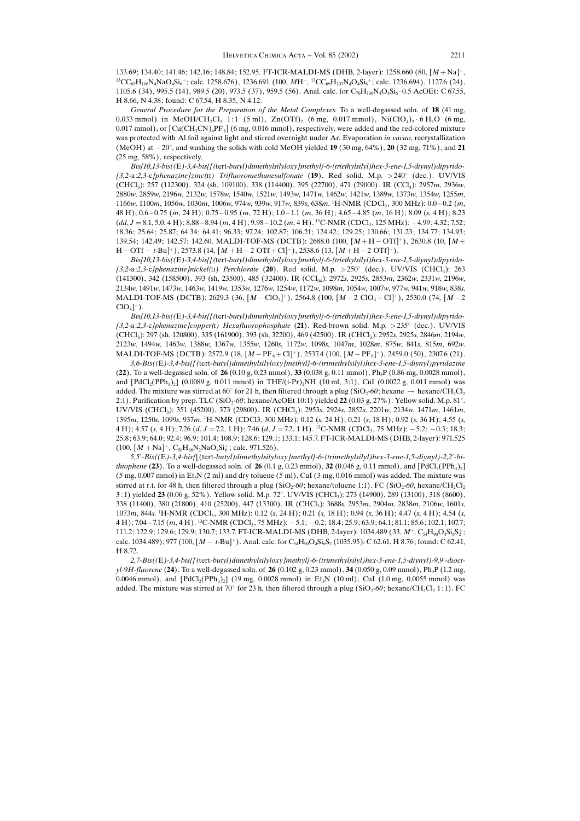133.69; 134.40; 141.46; 142.16; 148.84; 152.95. FT-ICR-MALDI-MS (DHB, 2-layer): 1258.660 (80, [M + Na]<sup>+</sup>,<br><sup>13</sup>CC<sub>69</sub>H<sub>106</sub>N<sub>4</sub>NaO<sub>4</sub>Si<sub>6</sub><sup>+</sup>; calc. 1258.676), 1236.691 (100, MH<sup>+</sup>, <sup>13</sup>CC<sub>69</sub>H<sub>107</sub>N<sub>4</sub>O<sub>4</sub>Si<sub>6</sub><sup>+</sup>; calc. 1105.6 (34), 995.5 (14), 989.5 (20), 973.5 (37), 959.5 (56). Anal. calc. for C<sub>70</sub>H<sub>106</sub>N<sub>4</sub>O<sub>4</sub>Si<sub>6</sub>  $\cdot$  0.5 AcOEt: C 67.55, H 8.66, N 4.38; found: C 67.54, H 8.35, N 4.12.

General Procedure for the Preparation of the Metal Complexes. To a well-degassed soln. of 18 (41 mg, 0.033 mmol) in MeOH/CH<sub>2</sub>Cl<sub>2</sub> 1:1 (5 ml), Zn(OTf)<sub>2</sub> (6 mg, 0.017 mmol), Ni(ClO<sub>4</sub>)<sub>2</sub> · 6 H<sub>2</sub>O (6 mg, 0.017 mmol), or  $\left[ Cu(CH_3CN)_4PF_6 \right]$  (6 mg, 0.016 mmol), respectively, were added and the red-colored mixture was protected with Al foil against light and stirred overnight under Ar. Evaporation in vacuo, recrystallization (MeOH) at  $-20^{\circ}$ , and washing the solids with cold MeOH yielded **19** (30 mg, 64%), **20** (32 mg, 71%), and **21** (25 mg, 58%), respectively.

Bis[10,13-bis((E)-3,4-bis{[(tert-butyl)dimethylsilyloxy]methyl}-6-(triethylsilyl)hex-3-ene-1,5-diynyl)dipyrido- [3,2-a:2,3-c]phenazine]zinc(II) Trifluoromethanesulfonate (19). Red solid. M.p.  $>$  240 $^{\circ}$  (dec.). UV/VIS (CHCl3): 257 (112300), 324 (sh, 109100), 338 (114400), 395 (22700), 471 (29000). IR (CCl4): 2957m, 2936w, 2880w, 2859w, 2196w, 2132w, 1578w, 1540w, 1521w, 1493w, 1471w, 1462w, 1421w, 1389w, 1373w, 1354w, 1255m, 1166w, 1100m, 1056w, 1030m, 1006w, 974w, 939w, 917w, 839s, 638m. <sup>1</sup>H-NMR (CDCl<sub>3</sub>, 300 MHz): 0.0–0.2 (m, 48 H);  $0.6 - 0.75$  (m, 24 H);  $0.75 - 0.95$  (m, 72 H);  $1.0 - 1.1$  (m, 36 H);  $4.65 - 4.85$  (m, 16 H); 8.09 (s, 4 H); 8.23  $(dd, J = 8.1, 5.0, 4 \text{ H}); 8.88 - 8.94 \text{ (m, 4 H)}; 9.98 - 10.2 \text{ (m, 4 H)}$ . <sup>13</sup>C-NMR (CDCl<sub>3</sub>, 125 MHz):  $-4.99$ ; 4.32; 7.52; 18.36; 25.64; 25.87; 64.34; 64.41; 96.33; 97.24; 102.87; 106.21; 124.42; 129.25; 130.66; 131.23; 134.77; 134.93; 139.54; 142.49; 142.57; 142.60. MALDI-TOF-MS (DCTB): 2688.0 (100,  $[M + H - OTH]^+$ ), 2630.8 (10,  $[M + H]$  $H - OTf - t-Bu$ <sup>+</sup>), 2573.8 (14,  $[M + H - 2 OTf + Cl]$ <sup>+</sup>), 2538.6 (13,  $[M + H - 2 OTf]$ <sup>+</sup>).

Bis[10,13-bis((E)-3,4-bis{[(tert-butyl)dimethylsilyloxy]methyl}-6-(triethylsilyl)hex-3-ene-1,5-diynyl)dipyrido- [3,2-a:2,3-c]phenazine]nickel( $\text{I1}$ ) Perchlorate (20). Red solid. M.p. > 250 $^{\circ}$  (dec.). UV/VIS (CHCl<sub>3</sub>): 263 (141300), 342 (158500), 393 (sh, 23500), 485 (32400). IR (CCl<sub>04</sub>): 2972s, 2925s, 2853m, 2362w, 2331w, 2196w, 2134w, 1491w, 1473w, 1463w, 1419w, 1353w, 1276w, 1254w, 1172w, 1098m, 1054w, 1007w, 977w, 941w, 918w, 838s. MALDI-TOF-MS (DCTB): 2629.3 (36,  $[M - ClO<sub>4</sub>]$ <sup>+</sup>), 2564.8 (100,  $[M - 2 ClO<sub>4</sub> + Cl]$ <sup>+</sup>), 2530.0 (74,  $[M - 2 ClO<sub>4</sub>]$  $ClO<sub>4</sub>$ <sup>+</sup>).

Bis[10,13-bis((E)-3,4-bis{[(tert-butyl)dimethylsilyloxy]methyl}-6-(triethylsilyl)hex-3-ene-1,5-diynyl)dipyrido- [3,2-a:2,3-c]phenazine]copper(1) Hexafluorophosphate (21). Red-brown solid. M.p. >235 $^{\circ}$  (dec.). UV/VIS (CHCl3): 297 (sh, 120800), 335 (161900), 393 (sh, 32200), 469 (42500). IR (CHCl3): 2952s, 2925s, 2846m, 2194w, 2123w, 1494w, 1463w, 1388w, 1367w, 1355w, 1260s, 1172w, 1098s, 1047m, 1028m, 875w, 841s, 815m, 692w. MALDI-TOF-MS (DCTB): 2572.9 (18,  $[M - PF_6 + Cl]^+$ ), 2537.4 (100,  $[M - PF_6]^+$ ), 2459.0 (50), 2307.6 (21).

3,6-Bis((E)-3,4-bis{[(tert-butyl)dimethylsilyloxy]methyl}-6-(trimethylsilyl)hex-3-ene-1,5-diynyl)pyridazine (22). To a well-degassed soln. of 26 (0.10 g, 0.23 mmol), 33 (0.038 g, 0.11 mmol), Ph<sub>3</sub>P (0.86 mg, 0.0028 mmol), and  $[PdCl_2(PPh_3)_2]$  (0.0089 g, 0.011 mmol) in THF/(i-Pr)<sub>2</sub>NH (10 ml, 3:1), CuI (0.0022 g, 0.011 mmol) was added. The mixture was stirred at  $60^\circ$  for 21 h, then filtered through a plug  $(SiO_2\text{-}60;$  hexane  $\rightarrow$  hexane/ $CH_2Cl_2$ 2:1). Purification by prep. TLC (SiO<sub>2</sub>-60; hexane/AcOEt 10:1) yielded **22** (0.03 g, 27%). Yellow solid. M.p. 81°. UV/VIS (CHCl<sub>3</sub>): 351 (45200), 373 (29800). IR (CHCl<sub>3</sub>): 2953s, 2924s, 2852s, 2201w, 2134w, 1471m, 1461m, 1395m, 1250s, 1099s, 937m. <sup>1</sup>H-NMR (CDCl3, 300 MHz): 0.12 (s, 24 H); 0.21 (s, 18 H); 0.92 (s, 36 H); 4.55 (s, 4 H); 4.57 (s, 4 H); 7.26 (d, J = 7.2, 1 H); 7.46 (d, J = 7.2, 1 H). <sup>13</sup>C-NMR (CDCl<sub>3</sub>, 75 MHz):  $-5.2$ ;  $-0.3$ ; 18.3; 25.8; 63.9; 64.0; 92.4; 96.9; 101.4; 108.9; 128.6; 129.1; 133.1; 145.7. FT-ICR-MALDI-MS (DHB, 2-layer): 971.525  $(100, [M + Na]^{+}, C_{50}H_{88}N_2NaO_4Si_6^+$ ; calc. 971.526).

5,5-Bis((E)-3,4-bis{[(tert-butyl)dimethylsilyloxy]methyl}-6-(trimethylsilyl)hex-3-ene-1,5-diynyl)-2,2-bi*thiophene* (23). To a well-degassed soln. of 26 (0.1 g, 0.23 mmol), 32 (0.046 g, 0.11 mmol), and  $[PdCl_2(PPh_3)_2]$  $(5 \text{ mg}, 0.007 \text{ mmol})$  in Et<sub>3</sub>N  $(2 \text{ ml})$  and dry toluene  $(5 \text{ ml})$ , CuI  $(3 \text{ mg}, 0.016 \text{ mmol})$  was added. The mixture was stirred at r.t. for 48 h, then filtered through a plug (SiO<sub>2</sub>-60; hexane/toluene 1:1). FC (SiO<sub>2</sub>-60, hexane/CH<sub>2</sub>Cl<sub>2</sub>  $(3:1)$  yielded 23 (0.06 g, 52%). Yellow solid. M.p. 72°. UV/VIS (CHCl<sub>3</sub>): 273 (14900), 289 (13100), 318 (8600), 338 (11400), 380 (21800), 410 (25200), 447 (13300). IR (CHCl3): 3688s, 2953m, 2904m, 2838m, 2106w, 1601s, 1073*m*, 844s. <sup>1</sup>H-NMR (CDCl<sub>3</sub>, 300 MHz): 0.12 (s, 24 H); 0.21 (s, 18 H); 0.94 (s, 36 H); 4.47 (s, 4 H); 4.54 (s,  $4 H$ ); 7.04 – 7.15  $(m, 4 H)$ . <sup>13</sup>C-NMR (CDCl<sub>3</sub>, 75 MHz):  $-5.1$ ;  $-0.2$ ; 18.4; 25.9; 63.9; 64.1; 81.1; 85.6; 102.1; 107.7;  $111.2; 122.9; 129.6; 129.9; 130.7; 133.7.$  FT-ICR-MALDI-MS (DHB, 2-layer): 1034.489 (33,  $M^+, C_{54}H_{90}O_4Si_6S_2^+$ ; calc. 1034.489); 977 (100,  $[M - t-Bu]^+$ ). Anal. calc. for C<sub>54</sub>H<sub>90</sub>O<sub>4</sub>Si<sub>6</sub>S<sub>2</sub> (1035.95): C 62.61, H 8.76; found: C 62.41, H 8.72.

2,7-Bis((E)-3,4-bis{[(tert-butyl)dimethylsilyloxy]methyl}-6-(trimethylsilyl)hex-3-ene-1,5-diynyl)-9,9-dioct $y$ l-9H-fluorene (24). To a well-degassed soln. of 26 (0.102 g, 0.23 mmol), 34 (0.050 g, 0.09 mmol), Ph<sub>3</sub>P (1.2 mg, 0.0046 mmol), and  $[PdCl_2(PPh_3)_2]$  (19 mg, 0.0028 mmol) in Et<sub>3</sub>N (10 ml), CuI (1.0 mg, 0.0055 mmol) was added. The mixture was stirred at 70° for 23 h, then filtered through a plug (SiO<sub>2</sub>-60; hexane/CH<sub>2</sub>Cl<sub>2</sub> 1:1). FC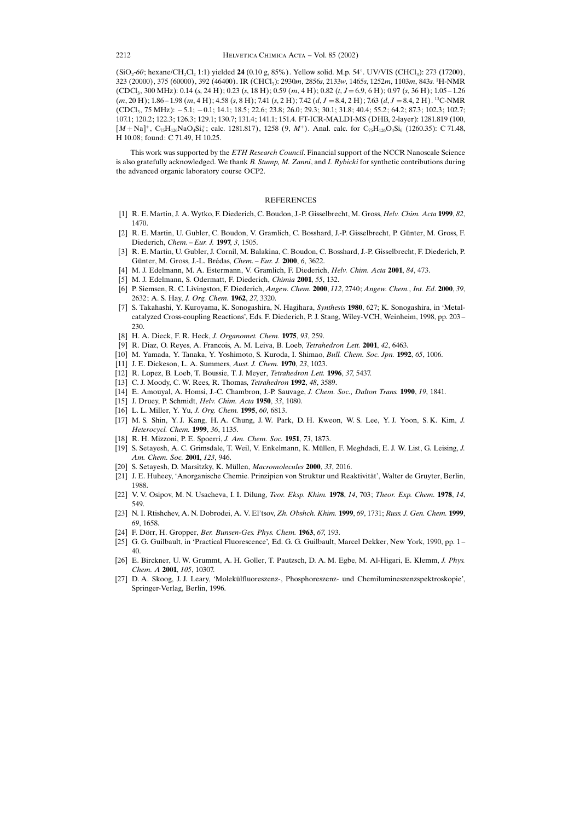$(SiO_2-60; \text{hexane/CH}_2Cl_2 1:1)$  yielded 24 (0.10 g, 85%). Yellow solid. M.p. 54°. UV/VIS (CHCl<sub>3</sub>): 273 (17200), 323 (20000), 375 (60000), 392 (46400). IR (CHCl<sub>3</sub>): 2930m, 2856s, 2133w, 1465s, 1252m, 1103m, 843s. <sup>1</sup>H-NMR  $(CDCl_3$ , 300 MHz): 0.14 (s, 24 H); 0.23 (s, 18 H); 0.59 (m, 4 H); 0.82 (t, J = 6.9, 6 H); 0.97 (s, 36 H); 1.05 - 1.26  $(m, 20 H)$ ; 1.86 - 1.98  $(m, 4 H)$ ; 4.58  $(s, 8 H)$ ; 7.41  $(s, 2 H)$ ; 7.42  $(d, J = 8.4, 2 H)$ ; 7.63  $(d, J = 8.4, 2 H)$ . <sup>13</sup>C-NMR  $(CDCl_3, 75 MHz): -5.1; -0.1; 14.1; 18.5; 22.6; 23.8; 26.0; 29.3; 30.1; 31.8; 40.4; 55.2; 64.2; 87.3; 102.3; 102.7;$ 107.1; 120.2; 122.3; 126.3; 129.1; 130.7; 131.4; 141.1; 151.4. FT-ICR-MALDI-MS (DHB, 2-layer): 1281.819 (100,  $[M + Na]^+, C_{75}H_{126}NaO_4Si_6^+$ ; calc. 1281.817), 1258 (9, M<sup>+</sup>). Anal. calc. for  $C_{75}H_{126}O_4Si_6$  (1260.35): C 71.48, H 10.08; found: C 71.49, H 10.25.

This work was supported by the ETH Research Council. Financial support of the NCCR Nanoscale Science is also gratefully acknowledged. We thank B. Stump, M. Zanni, and I. Rybicki for synthetic contributions during the advanced organic laboratory course OCP2.

## **REFERENCES**

- [1] R. E. Martin, J. A. Wytko, F. Diederich, C. Boudon, J.-P. Gisselbrecht, M. Gross, Helv. Chim. Acta 1999, 82, 1470.
- [2] R. E. Martin, U. Gubler, C. Boudon, V. Gramlich, C. Bosshard, J.-P. Gisselbrecht, P. Günter, M. Gross, F. Diederich, Chem. - Eur. J. 1997, 3, 1505.
- [3] R. E. Martin, U. Gubler, J. Cornil, M. Balakina, C. Boudon, C. Bosshard, J.-P. Gisselbrecht, F. Diederich, P. Günter, M. Gross, J.-L. Brédas, Chem. - Eur. J. 2000, 6, 3622.
- [4] M. J. Edelmann, M. A. Estermann, V. Gramlich, F. Diederich, Helv. Chim. Acta 2001, 84, 473.
- [5] M. J. Edelmann, S. Odermatt, F. Diederich, Chimia 2001, 55, 132.
- [6] P. Siemsen, R. C. Livingston, F. Diederich, Angew. Chem. 2000, 112, 2740; Angew. Chem., Int. Ed. 2000, 39, 2632; A. S. Hay, J. Org. Chem. 1962, 27, 3320.
- [7] S. Takahashi, Y. Kuroyama, K. Sonogashira, N. Hagihara, Synthesis 1980, 627; K. Sonogashira, in ∙Metalcatalyzed Cross-coupling Reactions', Eds. F. Diederich, P. J. Stang, Wiley-VCH, Weinheim, 1998, pp. 203-230.
- [8] H. A. Dieck, F. R. Heck, J. Organomet. Chem. 1975, 93, 259.
- [9] R. Diaz, O. Reyes, A. Francois, A. M. Leiva, B. Loeb, Tetrahedron Lett. 2001, 42, 6463.
- [10] M. Yamada, Y. Tanaka, Y. Yoshimoto, S. Kuroda, I. Shimao, Bull. Chem. Soc. Jpn. 1992, 65, 1006.
- [11] J. E. Dickeson, L. A. Summers, Aust. J. Chem. **1970**, 23, 1023.
- [12] R. Lopez, B. Loeb, T. Boussie, T. J. Meyer, Tetrahedron Lett. 1996, 37, 5437.
- [13] C. J. Moody, C. W. Rees, R. Thomas, *Tetrahedron* 1992, 48, 3589.
- [14] E. Amouyal, A. Homsi, J.-C. Chambron, J.-P. Sauvage, J. Chem. Soc., Dalton Trans. 1990, 19, 1841.
- [15] J. Druey, P. Schmidt, Helv. Chim. Acta 1950, 33, 1080.
- [16] L. L. Miller, Y. Yu, J. Org. Chem. 1995, 60, 6813.
- [17] M. S. Shin, Y. J. Kang, H. A. Chung, J. W. Park, D. H. Kweon, W. S. Lee, Y. J. Yoon, S. K. Kim, J. Heterocycl. Chem. 1999, 36, 1135.
- [18] R. H. Mizzoni, P. E. Spoerri, J. Am. Chem. Soc. 1951, 73, 1873.
- [19] S. Setayesh, A. C. Grimsdale, T. Weil, V. Enkelmann, K. Müllen, F. Meghdadi, E. J. W. List, G. Leising, J. Am. Chem. Soc. 2001, 123, 946.
- [20] S. Setayesh, D. Marsitzky, K. Müllen, Macromolecules 2000, 33, 2016.
- [21] J. E. Huheey, 'Anorganische Chemie. Prinzipien von Struktur und Reaktivität', Walter de Gruyter, Berlin, 1988.
- [22] V. V. Osipov, M. N. Usacheva, I. I. Dilung, Teor. Eksp. Khim. 1978, 14, 703; Theor. Exp. Chem. 1978, 14, 549.
- [23] N. I. Rtishchev, A. N. Dobrodei, A. V. El'tsov, Zh. Obshch. Khim. 1999, 69, 1731; Russ. J. Gen. Chem. 1999, 69, 1658.
- [24] F. Dörr, H. Gropper, Ber. Bunsen-Ges. Phys. Chem. 1963, 67, 193.
- [25] G. G. Guilbault, in 'Practical Fluorescence', Ed. G. G. Guilbault, Marcel Dekker, New York, 1990, pp. 1 -40.
- [26] E. Birckner, U. W. Grummt, A. H. Goller, T. Pautzsch, D. A. M. Egbe, M. Al-Higari, E. Klemm, J. Phys. Chem. A 2001, 105, 10307.
- [27] D. A. Skoog, J. J. Leary, 'Molekülfluoreszenz-, Phosphoreszenz- und Chemilumineszenzspektroskopie', Springer-Verlag, Berlin, 1996.